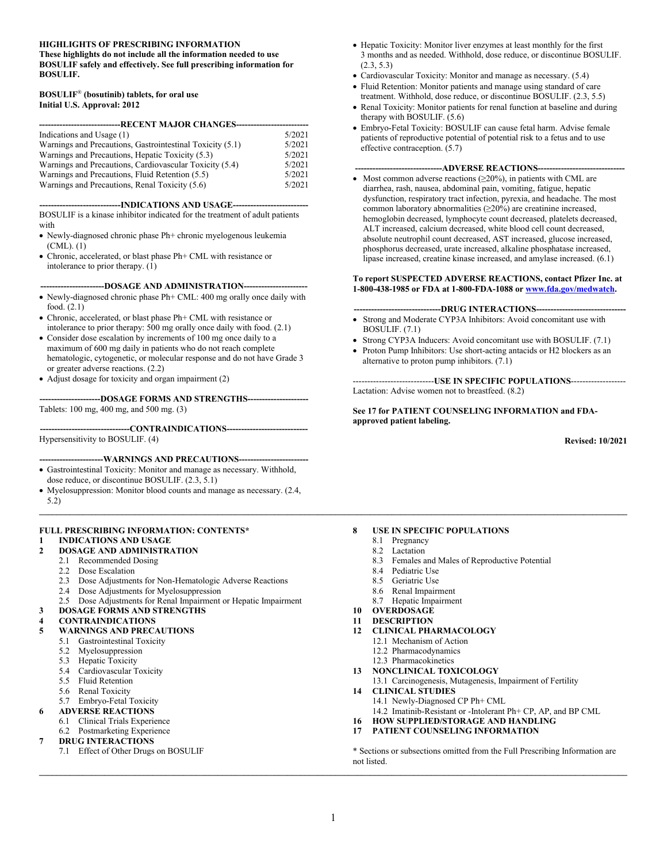#### **HIGHLIGHTS OF PRESCRIBING INFORMATION**

**These highlights do not include all the information needed to use BOSULIF safely and effectively. See full prescribing information for BOSULIF.**

#### **BOSULIF**® **(bosutinib) tablets, for oral use Initial U.S. Approval: 2012**

| 5/2021 |  |  |  |  |
|--------|--|--|--|--|
| 5/2021 |  |  |  |  |
| 5/2021 |  |  |  |  |
| 5/2021 |  |  |  |  |
| 5/2021 |  |  |  |  |
| 5/2021 |  |  |  |  |
|        |  |  |  |  |

-**INDICATIONS AND USAGE-**

BOSULIF is a kinase inhibitor indicated for the treatment of adult patients with

- Newly-diagnosed chronic phase Ph+ chronic myelogenous leukemia (CML). (1)
- Chronic, accelerated, or blast phase Ph+ CML with resistance or intolerance to prior therapy.  $(1)$

#### **----------------------DOSAGE AND ADMINISTRATION----------------------**

- Newly-diagnosed chronic phase Ph+ CML: 400 mg orally once daily with food. (2.1)
- Chronic, accelerated, or blast phase Ph+ CML with resistance or intolerance to prior therapy: 500 mg orally once daily with food. (2.1)
- Consider dose escalation by increments of 100 mg once daily to a maximum of 600 mg daily in patients who do not reach complete hematologic, cytogenetic, or molecular response and do not have Grade 3 or greater adverse reactions. (2.2)
- Adjust dosage for toxicity and organ impairment (2)

**---------------------DOSAGE FORMS AND STRENGTHS---------------------** Tablets: 100 mg, 400 mg, and 500 mg. (3)

**-------------------------------CONTRAINDICATIONS----------------------------** Hypersensitivity to BOSULIF. (4)

**----------------------WARNINGS AND PRECAUTIONS------------------------**

- Gastrointestinal Toxicity: Monitor and manage as necessary. Withhold, dose reduce, or discontinue BOSULIF. (2.3, 5.1)
- Myelosuppression: Monitor blood counts and manage as necessary. (2.4, 5.2)

### **FULL PRESCRIBING INFORMATION: CONTENTS\* 1 INDICATIONS AND USAGE**

#### **2 DOSAGE AND ADMINISTRATION**

- 2.1 Recommended Dosing
- 2.2 Dose Escalation<br>2.3 Dose Adiustmen
- Dose Adjustments for Non-Hematologic Adverse Reactions
- 2.4 Dose Adjustments for Myelosuppression
- 2.5 Dose Adjustments for Renal Impairment or Hepatic Impairment
- **3 DOSAGE FORMS AND STRENGTHS**
- **4 CONTRAINDICATIONS**

#### **5 WARNINGS AND PRECAUTIONS**

- 5.1 Gastrointestinal Toxicity
	- 5.2 Myelosuppression
	- 5.3 Hepatic Toxicity
	- 5.4 Cardiovascular Toxicity
	- 5.5 Fluid Retention
	- 5.6 Renal Toxicity
	- 5.7 Embryo-Fetal Toxicity

#### **6 ADVERSE REACTIONS**

- 
- 6.1 Clinical Trials Experience<br>6.2 Postmarketing Experience Postmarketing Experience

#### **7 DRUG INTERACTIONS**

7.1 Effect of Other Drugs on BOSULIF

- Hepatic Toxicity: Monitor liver enzymes at least monthly for the first 3 months and as needed. Withhold, dose reduce, or discontinue BOSULIF. (2.3, 5.3)
- Cardiovascular Toxicity: Monitor and manage as necessary. (5.4)
- Fluid Retention: Monitor patients and manage using standard of care treatment. Withhold, dose reduce, or discontinue BOSULIF. (2.3, 5.5)
- Renal Toxicity: Monitor patients for renal function at baseline and during therapy with BOSULIF. (5.6)
- Embryo-Fetal Toxicity: BOSULIF can cause fetal harm. Advise female patients of reproductive potential of potential risk to a fetus and to use effective contraception.  $(5.7)$

#### **------------------------------ADVERSE REACTIONS------------------------------**

Most common adverse reactions  $(\geq 20\%)$ , in patients with CML are diarrhea, rash, nausea, abdominal pain, vomiting, fatigue, hepatic dysfunction, respiratory tract infection, pyrexia, and headache. The most common laboratory abnormalities (≥20%) are creatinine increased, hemoglobin decreased, lymphocyte count decreased, platelets decreased, ALT increased, calcium decreased, white blood cell count decreased, absolute neutrophil count decreased, AST increased, glucose increased, phosphorus decreased, urate increased, alkaline phosphatase increased, lipase increased, creatine kinase increased, and amylase increased. (6.1)

#### **To report SUSPECTED ADVERSE REACTIONS, contact Pfizer Inc. at 1-800-438-1985 or FDA at 1-800-FDA-1088 or [www.fda.gov/medwatch](http://www.fda.gov/medwatch).**

#### **------------------------------DRUG INTERACTIONS-------------------------------**

- Strong and Moderate CYP3A Inhibitors: Avoid concomitant use with BOSULIF. (7.1)
- Strong CYP3A Inducers: Avoid concomitant use with BOSULIF. (7.1)
- Proton Pump Inhibitors: Use short-acting antacids or H2 blockers as an alternative to proton pump inhibitors. (7.1)

----------------------------**USE IN SPECIFIC POPULATIONS**------------------- Lactation: Advise women not to breastfeed. (8.2)

**See 17 for PATIENT COUNSELING INFORMATION and FDAapproved patient labeling.**

**Revised: 10/2021**

#### **8 USE IN SPECIFIC POPULATIONS**

- 8.1 Pregnancy
- 8.2 Lactation
- 8.3 Females and Males of Reproductive Potential
- 8.4 Pediatric Use
- 8.5 Geriatric Use
- 8.6 Renal Impairment
- 8.7 Hepatic Impairment
- **10 OVERDOSAGE**
- **11 DESCRIPTION**
- **12 CLINICAL PHARMACOLOGY**
	- 12.1 Mechanism of Action
	- 12.2 Pharmacodynamics
	- 12.3 Pharmacokinetics
- **13 NONCLINICAL TOXICOLOGY**
- 13.1 Carcinogenesis, Mutagenesis, Impairment of Fertility
- **14 CLINICAL STUDIES**
	- 14.1 Newly-Diagnosed CP Ph+ CML
	- 14.2 Imatinib-Resistant or -Intolerant Ph+ CP, AP, and BP CML
- **16 HOW SUPPLIED/STORAGE AND HANDLING**
- **17 PATIENT COUNSELING INFORMATION**

\* Sections or subsections omitted from the Full Prescribing Information are not listed.

**\_\_\_\_\_\_\_\_\_\_\_\_\_\_\_\_\_\_\_\_\_\_\_\_\_\_\_\_\_\_\_\_\_\_\_\_\_\_\_\_\_\_\_\_\_\_\_\_\_\_\_\_\_\_\_\_\_\_\_\_\_\_\_\_\_\_\_\_\_\_\_\_\_\_\_\_\_\_\_\_\_\_\_\_\_\_\_\_\_\_\_\_\_\_\_\_\_\_\_\_\_\_\_\_\_\_\_\_\_\_\_\_\_\_\_\_\_\_\_\_\_\_\_\_\_\_\_\_\_\_\_\_\_\_\_**

 $\mathcal{L} = \{ \mathcal{L} = \{ \mathcal{L} = \{ \mathcal{L} = \{ \mathcal{L} = \{ \mathcal{L} = \{ \mathcal{L} = \{ \mathcal{L} = \{ \mathcal{L} = \{ \mathcal{L} = \{ \mathcal{L} = \{ \mathcal{L} = \{ \mathcal{L} = \{ \mathcal{L} = \{ \mathcal{L} = \{ \mathcal{L} = \{ \mathcal{L} = \{ \mathcal{L} = \{ \mathcal{L} = \{ \mathcal{L} = \{ \mathcal{L} = \{ \mathcal{L} = \{ \mathcal{L} = \{ \mathcal{L} = \{ \mathcal{$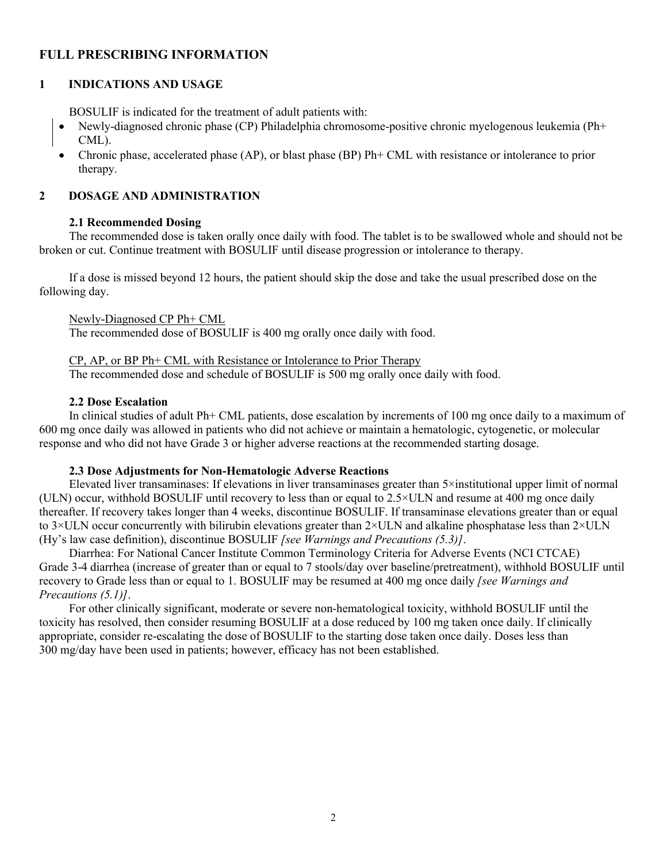## **FULL PRESCRIBING INFORMATION**

## **1 INDICATIONS AND USAGE**

BOSULIF is indicated for the treatment of adult patients with:

- Newly-diagnosed chronic phase (CP) Philadelphia chromosome-positive chronic myelogenous leukemia (Ph+ CML).
- Chronic phase, accelerated phase (AP), or blast phase (BP) Ph+ CML with resistance or intolerance to prior therapy.

### **2 DOSAGE AND ADMINISTRATION**

### **2.1 Recommended Dosing**

The recommended dose is taken orally once daily with food. The tablet is to be swallowed whole and should not be broken or cut. Continue treatment with BOSULIF until disease progression or intolerance to therapy.

If a dose is missed beyond 12 hours, the patient should skip the dose and take the usual prescribed dose on the following day.

### Newly-Diagnosed CP Ph+ CML

The recommended dose of BOSULIF is 400 mg orally once daily with food.

CP, AP, or BP Ph+ CML with Resistance or Intolerance to Prior Therapy The recommended dose and schedule of BOSULIF is 500 mg orally once daily with food.

### **2.2 Dose Escalation**

In clinical studies of adult Ph+ CML patients, dose escalation by increments of 100 mg once daily to a maximum of 600 mg once daily was allowed in patients who did not achieve or maintain a hematologic, cytogenetic, or molecular response and who did not have Grade 3 or higher adverse reactions at the recommended starting dosage.

### **2.3 Dose Adjustments for Non-Hematologic Adverse Reactions**

Elevated liver transaminases: If elevations in liver transaminases greater than 5×institutional upper limit of normal (ULN) occur, withhold BOSULIF until recovery to less than or equal to 2.5×ULN and resume at 400 mg once daily thereafter. If recovery takes longer than 4 weeks, discontinue BOSULIF. If transaminase elevations greater than or equal to 3×ULN occur concurrently with bilirubin elevations greater than 2×ULN and alkaline phosphatase less than 2×ULN (Hy's law case definition), discontinue BOSULIF *[see Warnings and Precautions (5.3)]*.

Diarrhea: For National Cancer Institute Common Terminology Criteria for Adverse Events (NCI CTCAE) Grade 3-4 diarrhea (increase of greater than or equal to 7 stools/day over baseline/pretreatment), withhold BOSULIF until recovery to Grade less than or equal to 1. BOSULIF may be resumed at 400 mg once daily *[see Warnings and Precautions (5.1)]*.

For other clinically significant, moderate or severe non-hematological toxicity, withhold BOSULIF until the toxicity has resolved, then consider resuming BOSULIF at a dose reduced by 100 mg taken once daily. If clinically appropriate, consider re-escalating the dose of BOSULIF to the starting dose taken once daily. Doses less than 300 mg/day have been used in patients; however, efficacy has not been established.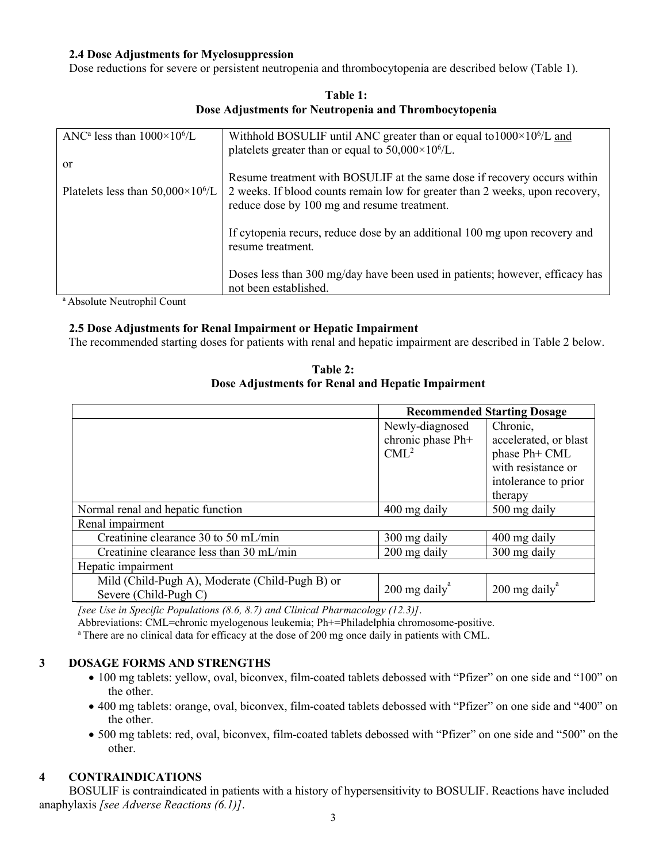### **2.4 Dose Adjustments for Myelosuppression**

Dose reductions for severe or persistent neutropenia and thrombocytopenia are described below (Table 1).

| ANC <sup>a</sup> less than $1000\times10^{6}/L$ | Withhold BOSULIF until ANC greater than or equal to $1000 \times 10^{6}/L$ and<br>platelets greater than or equal to $50,000 \times 10^6$ /L. |
|-------------------------------------------------|-----------------------------------------------------------------------------------------------------------------------------------------------|
|                                                 |                                                                                                                                               |
| or                                              |                                                                                                                                               |
|                                                 | Resume treatment with BOSULIF at the same dose if recovery occurs within                                                                      |
| Platelets less than $50,000\times10^6$ /L       | 2 weeks. If blood counts remain low for greater than 2 weeks, upon recovery,<br>reduce dose by 100 mg and resume treatment.                   |
|                                                 | If cytopenia recurs, reduce dose by an additional 100 mg upon recovery and<br>resume treatment.                                               |
|                                                 | Doses less than 300 mg/day have been used in patients; however, efficacy has<br>not been established.                                         |

**Table 1: Dose Adjustments for Neutropenia and Thrombocytopenia**

<sup>a</sup> Absolute Neutrophil Count

### **2.5 Dose Adjustments for Renal Impairment or Hepatic Impairment**

The recommended starting doses for patients with renal and hepatic impairment are described in Table 2 below.

| Table 2:                                          |
|---------------------------------------------------|
| Dose Adjustments for Renal and Hepatic Impairment |

|                                                 |                        | <b>Recommended Starting Dosage</b> |
|-------------------------------------------------|------------------------|------------------------------------|
|                                                 | Newly-diagnosed        | Chronic,                           |
|                                                 | chronic phase Ph+      | accelerated, or blast              |
|                                                 | CML <sup>2</sup>       | phase Ph+ CML                      |
|                                                 |                        | with resistance or                 |
|                                                 |                        | intolerance to prior               |
|                                                 |                        | therapy                            |
| Normal renal and hepatic function               | 400 mg daily           | 500 mg daily                       |
| Renal impairment                                |                        |                                    |
| Creatinine clearance 30 to 50 mL/min            | 300 mg daily           | 400 mg daily                       |
| Creatinine clearance less than 30 mL/min        | 200 mg daily           | 300 mg daily                       |
| Hepatic impairment                              |                        |                                    |
| Mild (Child-Pugh A), Moderate (Child-Pugh B) or |                        |                                    |
| Severe (Child-Pugh C)                           | $200 \text{ mg daily}$ | $200$ mg daily                     |

*[see Use in Specific Populations (8.6, 8.7) and Clinical Pharmacology (12.3)]*.

Abbreviations: CML=chronic myelogenous leukemia; Ph+=Philadelphia chromosome-positive.

<sup>a</sup>There are no clinical data for efficacy at the dose of 200 mg once daily in patients with CML.

## **3 DOSAGE FORMS AND STRENGTHS**

- 100 mg tablets: yellow, oval, biconvex, film-coated tablets debossed with "Pfizer" on one side and "100" on the other.
- 400 mg tablets: orange, oval, biconvex, film-coated tablets debossed with "Pfizer" on one side and "400" on the other.
- 500 mg tablets: red, oval, biconvex, film-coated tablets debossed with "Pfizer" on one side and "500" on the other.

## **4 CONTRAINDICATIONS**

BOSULIF is contraindicated in patients with a history of hypersensitivity to BOSULIF. Reactions have included anaphylaxis *[see Adverse Reactions (6.1)]*.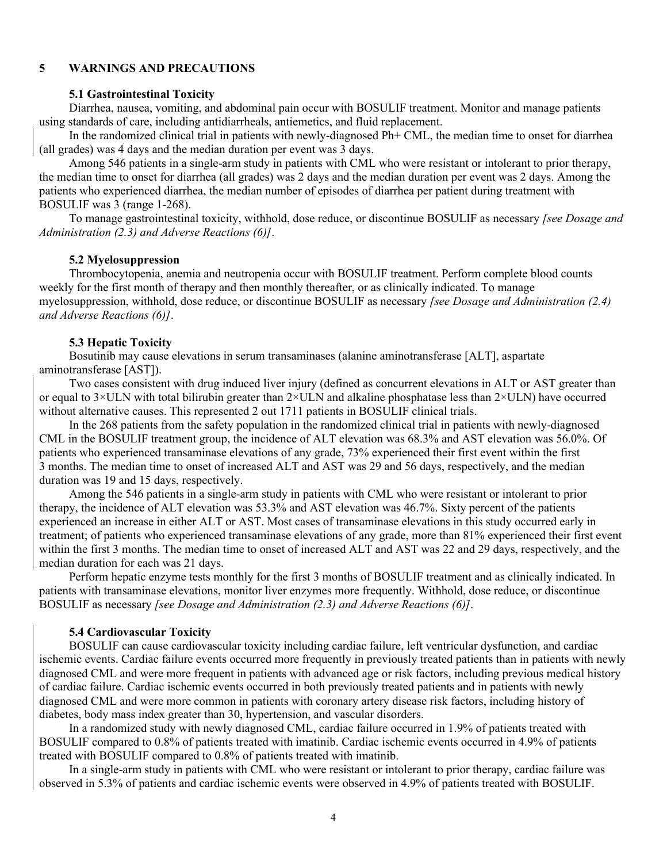### **5 WARNINGS AND PRECAUTIONS**

#### **5.1 Gastrointestinal Toxicity**

Diarrhea, nausea, vomiting, and abdominal pain occur with BOSULIF treatment. Monitor and manage patients using standards of care, including antidiarrheals, antiemetics, and fluid replacement.

In the randomized clinical trial in patients with newly-diagnosed Ph+ CML, the median time to onset for diarrhea (all grades) was 4 days and the median duration per event was 3 days.

Among 546 patients in a single-arm study in patients with CML who were resistant or intolerant to prior therapy, the median time to onset for diarrhea (all grades) was 2 days and the median duration per event was 2 days. Among the patients who experienced diarrhea, the median number of episodes of diarrhea per patient during treatment with BOSULIF was 3 (range 1-268).

To manage gastrointestinal toxicity, withhold, dose reduce, or discontinue BOSULIF as necessary *[see Dosage and Administration (2.3) and Adverse Reactions (6)]*.

#### **5.2 Myelosuppression**

Thrombocytopenia, anemia and neutropenia occur with BOSULIF treatment. Perform complete blood counts weekly for the first month of therapy and then monthly thereafter, or as clinically indicated. To manage myelosuppression, withhold, dose reduce, or discontinue BOSULIF as necessary *[see Dosage and Administration (2.4) and Adverse Reactions (6)]*.

### **5.3 Hepatic Toxicity**

Bosutinib may cause elevations in serum transaminases (alanine aminotransferase [ALT], aspartate aminotransferase [AST]).

Two cases consistent with drug induced liver injury (defined as concurrent elevations in ALT or AST greater than or equal to  $3\times$ ULN with total bilirubin greater than  $2\times$ ULN and alkaline phosphatase less than  $2\times$ ULN) have occurred without alternative causes. This represented 2 out 1711 patients in BOSULIF clinical trials.

In the 268 patients from the safety population in the randomized clinical trial in patients with newly-diagnosed CML in the BOSULIF treatment group, the incidence of ALT elevation was 68.3% and AST elevation was 56.0%. Of patients who experienced transaminase elevations of any grade, 73% experienced their first event within the first 3 months. The median time to onset of increased ALT and AST was 29 and 56 days, respectively, and the median duration was 19 and 15 days, respectively.

Among the 546 patients in a single-arm study in patients with CML who were resistant or intolerant to prior therapy, the incidence of ALT elevation was 53.3% and AST elevation was 46.7%. Sixty percent of the patients experienced an increase in either ALT or AST. Most cases of transaminase elevations in this study occurred early in treatment; of patients who experienced transaminase elevations of any grade, more than 81% experienced their first event within the first 3 months. The median time to onset of increased ALT and AST was 22 and 29 days, respectively, and the median duration for each was 21 days.

Perform hepatic enzyme tests monthly for the first 3 months of BOSULIF treatment and as clinically indicated. In patients with transaminase elevations, monitor liver enzymes more frequently. Withhold, dose reduce, or discontinue BOSULIF as necessary *[see Dosage and Administration (2.3) and Adverse Reactions (6)]*.

#### **5.4 Cardiovascular Toxicity**

BOSULIF can cause cardiovascular toxicity including cardiac failure, left ventricular dysfunction, and cardiac ischemic events. Cardiac failure events occurred more frequently in previously treated patients than in patients with newly diagnosed CML and were more frequent in patients with advanced age or risk factors, including previous medical history of cardiac failure. Cardiac ischemic events occurred in both previously treated patients and in patients with newly diagnosed CML and were more common in patients with coronary artery disease risk factors, including history of diabetes, body mass index greater than 30, hypertension, and vascular disorders.

In a randomized study with newly diagnosed CML, cardiac failure occurred in 1.9% of patients treated with BOSULIF compared to 0.8% of patients treated with imatinib. Cardiac ischemic events occurred in 4.9% of patients treated with BOSULIF compared to 0.8% of patients treated with imatinib.

In a single-arm study in patients with CML who were resistant or intolerant to prior therapy, cardiac failure was observed in 5.3% of patients and cardiac ischemic events were observed in 4.9% of patients treated with BOSULIF.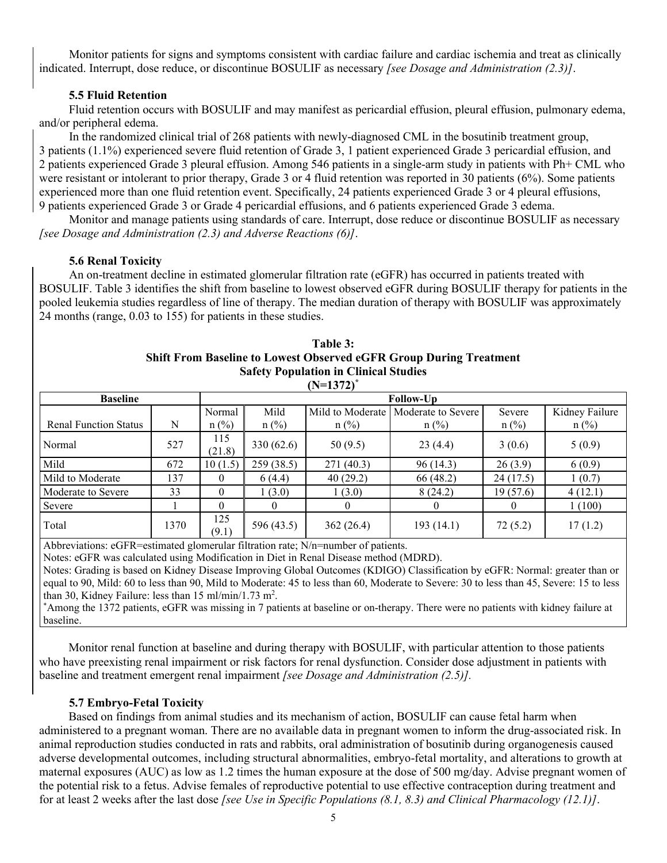Monitor patients for signs and symptoms consistent with cardiac failure and cardiac ischemia and treat as clinically indicated. Interrupt, dose reduce, or discontinue BOSULIF as necessary *[see Dosage and Administration (2.3)]*.

### **5.5 Fluid Retention**

Fluid retention occurs with BOSULIF and may manifest as pericardial effusion, pleural effusion, pulmonary edema, and/or peripheral edema.

In the randomized clinical trial of 268 patients with newly-diagnosed CML in the bosutinib treatment group, 3 patients (1.1%) experienced severe fluid retention of Grade 3, 1 patient experienced Grade 3 pericardial effusion, and 2 patients experienced Grade 3 pleural effusion. Among 546 patients in a single-arm study in patients with Ph+ CML who were resistant or intolerant to prior therapy, Grade 3 or 4 fluid retention was reported in 30 patients (6%). Some patients experienced more than one fluid retention event. Specifically, 24 patients experienced Grade 3 or 4 pleural effusions, 9 patients experienced Grade 3 or Grade 4 pericardial effusions, and 6 patients experienced Grade 3 edema.

Monitor and manage patients using standards of care. Interrupt, dose reduce or discontinue BOSULIF as necessary *[see Dosage and Administration (2.3) and Adverse Reactions (6)]*.

### **5.6 Renal Toxicity**

An on-treatment decline in estimated glomerular filtration rate (eGFR) has occurred in patients treated with BOSULIF. Table 3 identifies the shift from baseline to lowest observed eGFR during BOSULIF therapy for patients in the pooled leukemia studies regardless of line of therapy. The median duration of therapy with BOSULIF was approximately 24 months (range, 0.03 to 155) for patients in these studies.

| $(N=1372)^{*}$ |                  |            |                  |                |                               |                           |  |  |
|----------------|------------------|------------|------------------|----------------|-------------------------------|---------------------------|--|--|
|                | <b>Follow-Up</b> |            |                  |                |                               |                           |  |  |
|                | Normal           | Mild       | Mild to Moderate |                | Severe                        | Kidney Failure<br>$n$ (%) |  |  |
| 527            | 115<br>(21.8)    | 330 (62.6) | 50(9.5)          | 23(4.4)        | 3(0.6)                        | 5(0.9)                    |  |  |
| 672            | 10(1.5)          | 259(38.5)  | 271(40.3)        | 96 (14.3)      | 26(3.9)                       | 6(0.9)                    |  |  |
| 137            | $\Omega$         | 6(4.4)     | 40(29.2)         | 66 (48.2)      | 24 (17.5)                     | 1(0.7)                    |  |  |
| 33             | $\Omega$         | 1(3.0)     | 1(3.0)           | 8(24.2)        | 19(57.6)                      | 4(12.1)                   |  |  |
|                | $\Omega$         | 0          |                  | $\overline{0}$ | $\theta$                      | 1(100)                    |  |  |
| 1370           | 125<br>(9.1)     | 596 (43.5) | 362(26.4)        | 193(14.1)      | 72(5.2)                       | 17(1.2)                   |  |  |
|                | N                | $n$ (%)    | $n$ (%)          | $n$ (%)        | Moderate to Severe<br>$n$ (%) | $n$ (%)                   |  |  |

| Table 3:                                                                  |
|---------------------------------------------------------------------------|
| <b>Shift From Baseline to Lowest Observed eGFR Group During Treatment</b> |
| <b>Safety Population in Clinical Studies</b>                              |

Abbreviations: eGFR=estimated glomerular filtration rate; N/n=number of patients.

Notes: eGFR was calculated using Modification in Diet in Renal Disease method (MDRD).

Notes: Grading is based on Kidney Disease Improving Global Outcomes (KDIGO) Classification by eGFR: Normal: greater than or equal to 90, Mild: 60 to less than 90, Mild to Moderate: 45 to less than 60, Moderate to Severe: 30 to less than 45, Severe: 15 to less than 30, Kidney Failure: less than 15 ml/min/1.73 m<sup>2</sup>.

\*Among the 1372 patients, eGFR was missing in 7 patients at baseline or on-therapy. There were no patients with kidney failure at baseline.

Monitor renal function at baseline and during therapy with BOSULIF, with particular attention to those patients who have preexisting renal impairment or risk factors for renal dysfunction. Consider dose adjustment in patients with baseline and treatment emergent renal impairment *[see Dosage and Administration (2.5)].*

#### **5.7 Embryo-Fetal Toxicity**

Based on findings from animal studies and its mechanism of action, BOSULIF can cause fetal harm when administered to a pregnant woman. There are no available data in pregnant women to inform the drug-associated risk. In animal reproduction studies conducted in rats and rabbits, oral administration of bosutinib during organogenesis caused adverse developmental outcomes, including structural abnormalities, embryo-fetal mortality, and alterations to growth at maternal exposures (AUC) as low as 1.2 times the human exposure at the dose of 500 mg/day. Advise pregnant women of the potential risk to a fetus. Advise females of reproductive potential to use effective contraception during treatment and for at least 2 weeks after the last dose *[see Use in Specific Populations (8.1, 8.3) and Clinical Pharmacology (12.1)]*.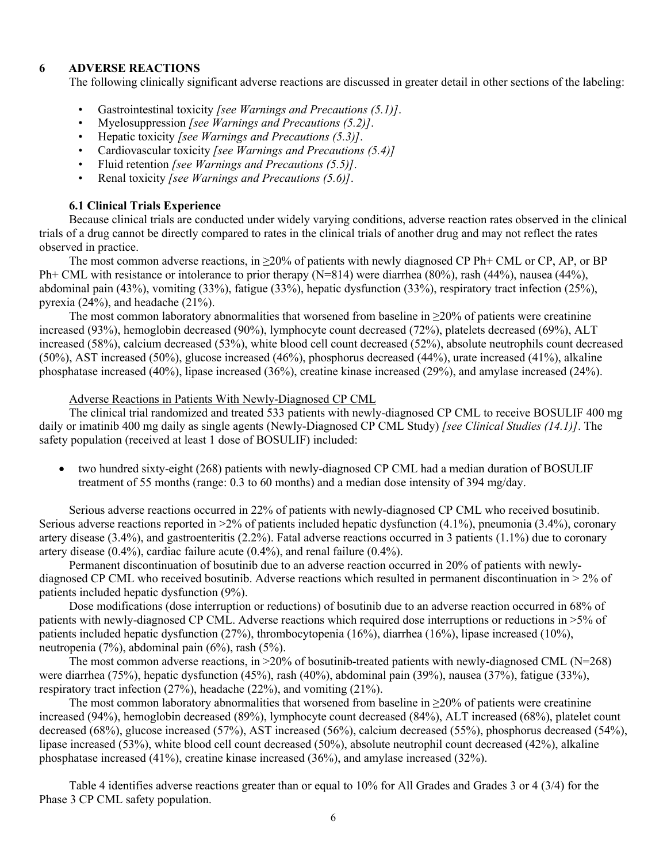### **6 ADVERSE REACTIONS**

The following clinically significant adverse reactions are discussed in greater detail in other sections of the labeling:

- Gastrointestinal toxicity *[see Warnings and Precautions (5.1)]*.
- Myelosuppression *[see Warnings and Precautions (5.2)]*.
- Hepatic toxicity *[see Warnings and Precautions (5.3)]*.
- Cardiovascular toxicity *[see Warnings and Precautions (5.4)]*
- Fluid retention *[see Warnings and Precautions (5.5)]*.
- Renal toxicity *[see Warnings and Precautions (5.6)]*.

### **6.1 Clinical Trials Experience**

Because clinical trials are conducted under widely varying conditions, adverse reaction rates observed in the clinical trials of a drug cannot be directly compared to rates in the clinical trials of another drug and may not reflect the rates observed in practice.

The most common adverse reactions, in  $\geq 20\%$  of patients with newly diagnosed CP Ph+ CML or CP, AP, or BP Ph+ CML with resistance or intolerance to prior therapy (N=814) were diarrhea (80%), rash (44%), nausea (44%), abdominal pain (43%), vomiting (33%), fatigue (33%), hepatic dysfunction (33%), respiratory tract infection (25%), pyrexia (24%), and headache (21%).

The most common laboratory abnormalities that worsened from baseline in  $\geq$ 20% of patients were creatinine increased (93%), hemoglobin decreased (90%), lymphocyte count decreased (72%), platelets decreased (69%), ALT increased (58%), calcium decreased (53%), white blood cell count decreased (52%), absolute neutrophils count decreased (50%), AST increased (50%), glucose increased (46%), phosphorus decreased (44%), urate increased (41%), alkaline phosphatase increased (40%), lipase increased (36%), creatine kinase increased (29%), and amylase increased (24%).

#### Adverse Reactions in Patients With Newly-Diagnosed CP CML

The clinical trial randomized and treated 533 patients with newly-diagnosed CP CML to receive BOSULIF 400 mg daily or imatinib 400 mg daily as single agents (Newly-Diagnosed CP CML Study) *[see Clinical Studies (14.1)]*. The safety population (received at least 1 dose of BOSULIF) included:

 two hundred sixty-eight (268) patients with newly-diagnosed CP CML had a median duration of BOSULIF treatment of 55 months (range: 0.3 to 60 months) and a median dose intensity of 394 mg/day.

Serious adverse reactions occurred in 22% of patients with newly-diagnosed CP CML who received bosutinib. Serious adverse reactions reported in >2% of patients included hepatic dysfunction (4.1%), pneumonia (3.4%), coronary artery disease (3.4%), and gastroenteritis (2.2%). Fatal adverse reactions occurred in 3 patients (1.1%) due to coronary artery disease (0.4%), cardiac failure acute (0.4%), and renal failure (0.4%).

Permanent discontinuation of bosutinib due to an adverse reaction occurred in 20% of patients with newlydiagnosed CP CML who received bosutinib. Adverse reactions which resulted in permanent discontinuation in > 2% of patients included hepatic dysfunction (9%).

Dose modifications (dose interruption or reductions) of bosutinib due to an adverse reaction occurred in 68% of patients with newly-diagnosed CP CML. Adverse reactions which required dose interruptions or reductions in >5% of patients included hepatic dysfunction (27%), thrombocytopenia (16%), diarrhea (16%), lipase increased (10%), neutropenia (7%), abdominal pain (6%), rash (5%).

The most common adverse reactions, in  $>20\%$  of bosutinib-treated patients with newly-diagnosed CML (N=268) were diarrhea (75%), hepatic dysfunction (45%), rash (40%), abdominal pain (39%), nausea (37%), fatigue (33%), respiratory tract infection (27%), headache (22%), and vomiting (21%).

The most common laboratory abnormalities that worsened from baseline in  $\geq$ 20% of patients were creatinine increased (94%), hemoglobin decreased (89%), lymphocyte count decreased (84%), ALT increased (68%), platelet count decreased (68%), glucose increased (57%), AST increased (56%), calcium decreased (55%), phosphorus decreased (54%), lipase increased (53%), white blood cell count decreased (50%), absolute neutrophil count decreased (42%), alkaline phosphatase increased (41%), creatine kinase increased (36%), and amylase increased (32%).

Table 4 identifies adverse reactions greater than or equal to 10% for All Grades and Grades 3 or 4 (3/4) for the Phase 3 CP CML safety population.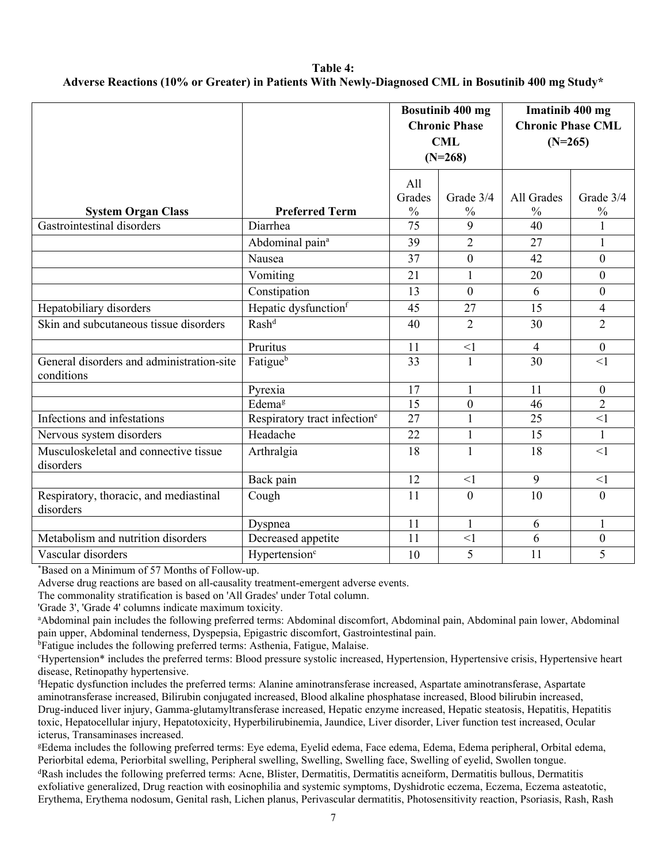### **Table 4: Adverse Reactions (10% or Greater) in Patients With Newly-Diagnosed CML in Bosutinib 400 mg Study\***

|                                                         |                                          | Bosutinib 400 mg<br><b>Chronic Phase</b><br><b>CML</b><br>$(N=268)$ |                  | Imatinib 400 mg<br><b>Chronic Phase CML</b><br>$(N=265)$ |                            |
|---------------------------------------------------------|------------------------------------------|---------------------------------------------------------------------|------------------|----------------------------------------------------------|----------------------------|
| <b>System Organ Class</b>                               | <b>Preferred Term</b>                    | All<br>Grades<br>Grade 3/4<br>$\frac{0}{0}$<br>$\frac{0}{0}$        |                  | All Grades<br>$\frac{0}{0}$                              | Grade 3/4<br>$\frac{0}{0}$ |
| Gastrointestinal disorders                              | Diarrhea                                 | 75                                                                  | 9                | 40                                                       | $\mathbf{1}$               |
|                                                         | Abdominal pain <sup>a</sup>              | 39                                                                  | $\overline{2}$   | 27                                                       | 1                          |
|                                                         | Nausea                                   | 37                                                                  | $\boldsymbol{0}$ | 42                                                       | $\mathbf{0}$               |
|                                                         | Vomiting                                 | 21                                                                  | $\mathbf{1}$     | 20                                                       | $\overline{0}$             |
|                                                         | Constipation                             | 13                                                                  | $\overline{0}$   | 6                                                        | $\mathbf{0}$               |
| Hepatobiliary disorders                                 | Hepatic dysfunction <sup>f</sup>         | 45                                                                  | 27               | 15                                                       | $\overline{4}$             |
| Skin and subcutaneous tissue disorders                  | Rash <sup>d</sup>                        | 40                                                                  | $\overline{2}$   | 30                                                       | $\overline{2}$             |
|                                                         | Pruritus                                 | 11                                                                  | $\leq$ 1         | $\overline{4}$                                           | $\boldsymbol{0}$           |
| General disorders and administration-site<br>conditions | Fatigueb                                 | 33                                                                  | $\mathbf{1}$     | 30                                                       | $\leq$ 1                   |
|                                                         | Pyrexia                                  | 17                                                                  | $\mathbf{1}$     | 11                                                       | $\overline{0}$             |
|                                                         | Edemag                                   | $\overline{15}$                                                     | $\boldsymbol{0}$ | 46                                                       | $\overline{2}$             |
| Infections and infestations                             | Respiratory tract infection <sup>e</sup> | 27                                                                  | $\mathbf{1}$     | 25                                                       | $\leq$ 1                   |
| Nervous system disorders                                | Headache                                 | 22                                                                  | $\mathbf{1}$     | 15                                                       | $\mathbf{1}$               |
| Musculoskeletal and connective tissue<br>disorders      | Arthralgia                               | 18                                                                  | $\mathbf{1}$     | 18                                                       | $\leq$ 1                   |
|                                                         | Back pain                                | 12                                                                  | $\leq$ 1         | 9                                                        | <1                         |
| Respiratory, thoracic, and mediastinal<br>disorders     | Cough                                    | 11                                                                  | $\overline{0}$   | 10                                                       | $\mathbf{0}$               |
|                                                         | Dyspnea                                  | 11                                                                  | $\mathbf{1}$     | 6                                                        | 1                          |
| Metabolism and nutrition disorders                      | Decreased appetite                       | 11                                                                  | $\leq$ 1         | 6                                                        | $\overline{0}$             |
| Vascular disorders                                      | Hypertension <sup>c</sup>                | 10                                                                  | 5                | 11                                                       | 5                          |

\*Based on a Minimum of 57 Months of Follow-up.

Adverse drug reactions are based on all-causality treatment-emergent adverse events.

The commonality stratification is based on 'All Grades' under Total column.

'Grade 3', 'Grade 4' columns indicate maximum toxicity.

<sup>a</sup>Abdominal pain includes the following preferred terms: Abdominal discomfort, Abdominal pain, Abdominal pain lower, Abdominal pain upper, Abdominal tenderness, Dyspepsia, Epigastric discomfort, Gastrointestinal pain.

<sup>b</sup>Fatigue includes the following preferred terms: Asthenia, Fatigue, Malaise.

<sup>c</sup>Hypertension\* includes the preferred terms: Blood pressure systolic increased, Hypertension, Hypertensive crisis, Hypertensive heart disease, Retinopathy hypertensive.

<sup>f</sup>Hepatic dysfunction includes the preferred terms: Alanine aminotransferase increased, Aspartate aminotransferase, Aspartate aminotransferase increased, Bilirubin conjugated increased, Blood alkaline phosphatase increased, Blood bilirubin increased, Drug-induced liver injury, Gamma-glutamyltransferase increased, Hepatic enzyme increased, Hepatic steatosis, Hepatitis, Hepatitis toxic, Hepatocellular injury, Hepatotoxicity, Hyperbilirubinemia, Jaundice, Liver disorder, Liver function test increased, Ocular icterus, Transaminases increased.

<sup>g</sup>Edema includes the following preferred terms: Eye edema, Eyelid edema, Face edema, Edema, Edema peripheral, Orbital edema, Periorbital edema, Periorbital swelling, Peripheral swelling, Swelling, Swelling face, Swelling of eyelid, Swollen tongue.

<sup>d</sup>Rash includes the following preferred terms: Acne, Blister, Dermatitis, Dermatitis acneiform, Dermatitis bullous, Dermatitis exfoliative generalized, Drug reaction with eosinophilia and systemic symptoms, Dyshidrotic eczema, Eczema, Eczema asteatotic, Erythema, Erythema nodosum, Genital rash, Lichen planus, Perivascular dermatitis, Photosensitivity reaction, Psoriasis, Rash, Rash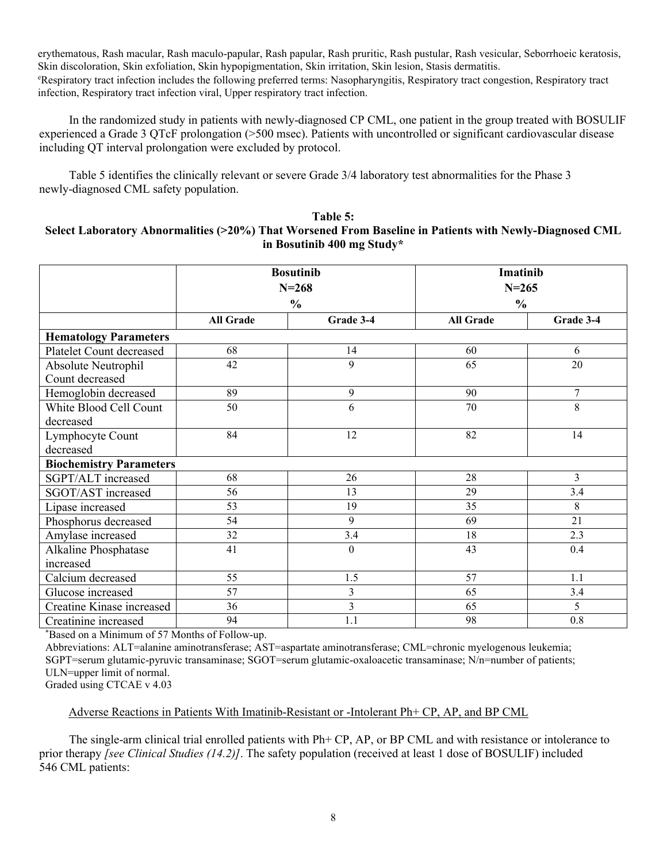erythematous, Rash macular, Rash maculo-papular, Rash papular, Rash pruritic, Rash pustular, Rash vesicular, Seborrhoeic keratosis, Skin discoloration, Skin exfoliation, Skin hypopigmentation, Skin irritation, Skin lesion, Stasis dermatitis. <sup>e</sup>Respiratory tract infection includes the following preferred terms: Nasopharyngitis, Respiratory tract congestion, Respiratory tract infection, Respiratory tract infection viral, Upper respiratory tract infection.

In the randomized study in patients with newly-diagnosed CP CML, one patient in the group treated with BOSULIF experienced a Grade 3 QTcF prolongation (>500 msec). Patients with uncontrolled or significant cardiovascular disease including QT interval prolongation were excluded by protocol.

Table 5 identifies the clinically relevant or severe Grade 3/4 laboratory test abnormalities for the Phase 3 newly-diagnosed CML safety population.

### **Table 5: Select Laboratory Abnormalities (>20%) That Worsened From Baseline in Patients with Newly-Diagnosed CML in Bosutinib 400 mg Study\***

|                                |                  | <b>Bosutinib</b><br>$N = 268$ | <b>Imatinib</b><br>$N = 265$ |           |
|--------------------------------|------------------|-------------------------------|------------------------------|-----------|
|                                |                  | $\frac{0}{0}$                 | $\frac{0}{0}$                |           |
|                                | <b>All Grade</b> | Grade 3-4                     | <b>All Grade</b>             | Grade 3-4 |
| <b>Hematology Parameters</b>   |                  |                               |                              |           |
| Platelet Count decreased       | 68               | 14                            | 60                           | 6         |
| Absolute Neutrophil            | 42               | 9                             | 65                           | 20        |
| Count decreased                |                  |                               |                              |           |
| Hemoglobin decreased           | 89               | 9                             | 90                           | $\tau$    |
| White Blood Cell Count         | 50               | 6                             | 70                           | 8         |
| decreased                      |                  |                               |                              |           |
| Lymphocyte Count               | 84               | 12                            | 82                           | 14        |
| decreased                      |                  |                               |                              |           |
| <b>Biochemistry Parameters</b> |                  |                               |                              |           |
| SGPT/ALT increased             | 68               | 26                            | 28                           | 3         |
| SGOT/AST increased             | 56               | 13                            | 29                           | 3.4       |
| Lipase increased               | 53               | 19                            | 35                           | 8         |
| Phosphorus decreased           | 54               | 9                             | 69                           | 21        |
| Amylase increased              | 32               | 3.4                           | 18                           | 2.3       |
| Alkaline Phosphatase           | 41               | $\theta$                      | 43                           | 0.4       |
| increased                      |                  |                               |                              |           |
| Calcium decreased              | 55               | 1.5                           | 57                           | 1.1       |
| Glucose increased              | $\overline{57}$  | 3                             | 65                           | 3.4       |
| Creatine Kinase increased      | 36               | $\overline{3}$                | 65                           | 5         |
| Creatinine increased           | 94               | 1.1                           | 98                           | 0.8       |

\*Based on a Minimum of 57 Months of Follow-up.

Abbreviations: ALT=alanine aminotransferase; AST=aspartate aminotransferase; CML=chronic myelogenous leukemia; SGPT=serum glutamic-pyruvic transaminase; SGOT=serum glutamic-oxaloacetic transaminase; N/n=number of patients; ULN=upper limit of normal.

Graded using CTCAE v 4.03

Adverse Reactions in Patients With Imatinib-Resistant or -Intolerant Ph+ CP, AP, and BP CML

The single-arm clinical trial enrolled patients with Ph+ CP, AP, or BP CML and with resistance or intolerance to prior therapy *[see Clinical Studies (14.2)]*. The safety population (received at least 1 dose of BOSULIF) included 546 CML patients: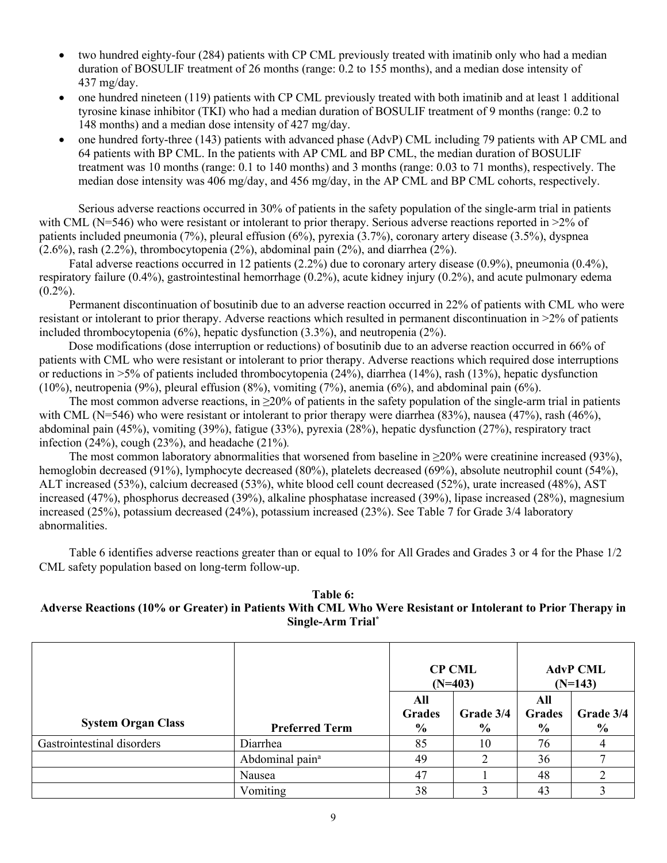- two hundred eighty-four (284) patients with CP CML previously treated with imatinib only who had a median duration of BOSULIF treatment of 26 months (range: 0.2 to 155 months), and a median dose intensity of 437 mg/day.
- one hundred nineteen (119) patients with CP CML previously treated with both imatinib and at least 1 additional tyrosine kinase inhibitor (TKI) who had a median duration of BOSULIF treatment of 9 months (range: 0.2 to 148 months) and a median dose intensity of 427 mg/day.
- one hundred forty-three (143) patients with advanced phase (AdvP) CML including 79 patients with AP CML and 64 patients with BP CML. In the patients with AP CML and BP CML, the median duration of BOSULIF treatment was 10 months (range: 0.1 to 140 months) and 3 months (range: 0.03 to 71 months), respectively. The median dose intensity was 406 mg/day, and 456 mg/day, in the AP CML and BP CML cohorts, respectively.

Serious adverse reactions occurred in 30% of patients in the safety population of the single-arm trial in patients with CML (N=546) who were resistant or intolerant to prior therapy. Serious adverse reactions reported in >2% of patients included pneumonia (7%), pleural effusion (6%), pyrexia (3.7%), coronary artery disease (3.5%), dyspnea  $(2.6\%)$ , rash  $(2.2\%)$ , thrombocytopenia  $(2\%)$ , abdominal pain  $(2\%)$ , and diarrhea  $(2\%)$ .

Fatal adverse reactions occurred in 12 patients (2.2%) due to coronary artery disease (0.9%), pneumonia (0.4%), respiratory failure (0.4%), gastrointestinal hemorrhage (0.2%), acute kidney injury (0.2%), and acute pulmonary edema  $(0.2\%)$ .

Permanent discontinuation of bosutinib due to an adverse reaction occurred in 22% of patients with CML who were resistant or intolerant to prior therapy. Adverse reactions which resulted in permanent discontinuation in >2% of patients included thrombocytopenia  $(6%)$ , hepatic dysfunction  $(3.3%)$ , and neutropenia  $(2%)$ .

Dose modifications (dose interruption or reductions) of bosutinib due to an adverse reaction occurred in 66% of patients with CML who were resistant or intolerant to prior therapy. Adverse reactions which required dose interruptions or reductions in >5% of patients included thrombocytopenia (24%), diarrhea (14%), rash (13%), hepatic dysfunction (10%), neutropenia (9%), pleural effusion (8%), vomiting (7%), anemia (6%), and abdominal pain (6%).

The most common adverse reactions, in  $\geq$ 20% of patients in the safety population of the single-arm trial in patients with CML (N=546) who were resistant or intolerant to prior therapy were diarrhea (83%), nausea (47%), rash (46%), abdominal pain (45%), vomiting (39%), fatigue (33%), pyrexia (28%), hepatic dysfunction (27%), respiratory tract infection (24%), cough (23%), and headache (21%)*.*

The most common laboratory abnormalities that worsened from baseline in  $\geq 20\%$  were creatinine increased (93%), hemoglobin decreased (91%), lymphocyte decreased (80%), platelets decreased (69%), absolute neutrophil count (54%), ALT increased (53%), calcium decreased (53%), white blood cell count decreased (52%), urate increased (48%), AST increased (47%), phosphorus decreased (39%), alkaline phosphatase increased (39%), lipase increased (28%), magnesium increased (25%), potassium decreased (24%), potassium increased (23%). See Table 7 for Grade 3/4 laboratory abnormalities.

Table 6 identifies adverse reactions greater than or equal to 10% for All Grades and Grades 3 or 4 for the Phase 1/2 CML safety population based on long-term follow-up.

### **Table 6: Adverse Reactions (10% or Greater) in Patients With CML Who Were Resistant or Intolerant to Prior Therapy in Single-Arm Trial\***

|                            |                             | <b>CP CML</b><br>$(N=403)$            |                            |                                       | <b>AdvP CML</b><br>$(N=143)$ |
|----------------------------|-----------------------------|---------------------------------------|----------------------------|---------------------------------------|------------------------------|
| <b>System Organ Class</b>  | <b>Preferred Term</b>       | All<br><b>Grades</b><br>$\frac{6}{9}$ | Grade 3/4<br>$\frac{0}{0}$ | All<br><b>Grades</b><br>$\frac{6}{6}$ | Grade 3/4<br>$\frac{6}{10}$  |
| Gastrointestinal disorders | Diarrhea                    | 85                                    | 10                         | 76                                    |                              |
|                            | Abdominal pain <sup>a</sup> | 49                                    |                            | 36                                    |                              |
|                            | Nausea                      | 47                                    |                            | 48                                    | ◠                            |
|                            | Vomiting                    | 38                                    |                            | 43                                    |                              |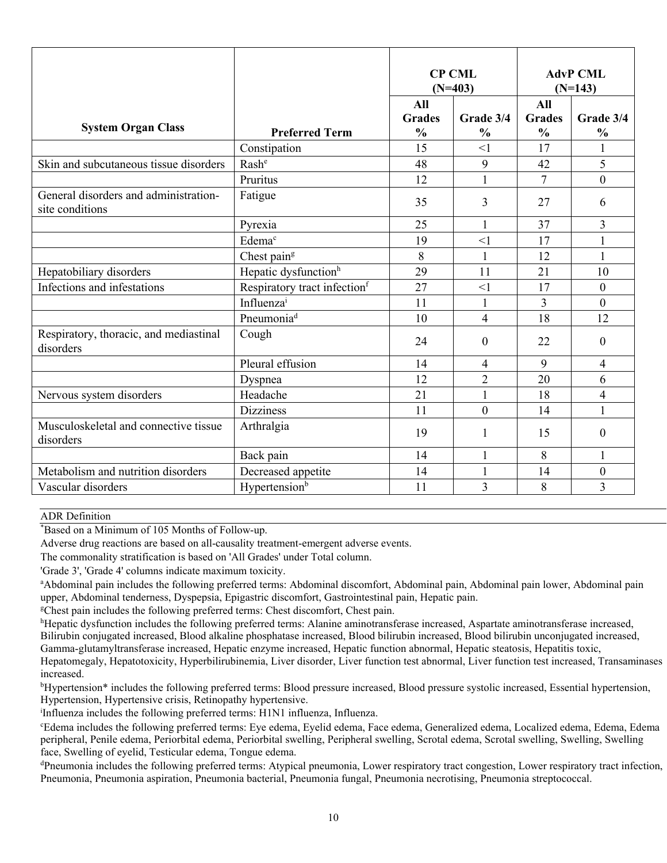|                                                          |                                          | <b>CP CML</b><br>$(N=403)$            |                            | <b>AdvP CML</b><br>$(N=143)$          |                            |
|----------------------------------------------------------|------------------------------------------|---------------------------------------|----------------------------|---------------------------------------|----------------------------|
| <b>System Organ Class</b>                                | <b>Preferred Term</b>                    | All<br><b>Grades</b><br>$\frac{0}{0}$ | Grade 3/4<br>$\frac{0}{0}$ | All<br><b>Grades</b><br>$\frac{0}{0}$ | Grade 3/4<br>$\frac{0}{0}$ |
|                                                          | Constipation                             | 15                                    | $\leq$ 1                   | 17                                    | $\mathbf{1}$               |
| Skin and subcutaneous tissue disorders                   | Rash <sup>e</sup>                        | 48                                    | 9                          | 42                                    | 5                          |
|                                                          | Pruritus                                 | 12                                    | $\mathbf{1}$               | $\overline{7}$                        | $\overline{0}$             |
| General disorders and administration-<br>site conditions | Fatigue                                  | 35                                    | 3                          | 27                                    | 6                          |
|                                                          | Pyrexia                                  | 25                                    | $\mathbf{1}$               | 37                                    | 3                          |
|                                                          | Edema <sup>c</sup>                       | 19                                    | $\leq$ 1                   | 17                                    | $\mathbf{1}$               |
|                                                          | Chest pain <sup>g</sup>                  | 8                                     | $\mathbf{1}$               | 12                                    | $\mathbf{1}$               |
| Hepatobiliary disorders                                  | Hepatic dysfunction <sup>h</sup>         | 29                                    | 11                         | 21                                    | 10                         |
| Infections and infestations                              | Respiratory tract infection <sup>f</sup> | 27                                    | $\leq$ 1                   | 17                                    | $\overline{0}$             |
|                                                          | Influenzai                               | 11                                    | 1                          | 3                                     | $\overline{0}$             |
|                                                          | Pneumonia <sup>d</sup>                   | 10                                    | $\overline{4}$             | 18                                    | 12                         |
| Respiratory, thoracic, and mediastinal<br>disorders      | Cough                                    | 24                                    | $\mathbf{0}$               | 22                                    | $\overline{0}$             |
|                                                          | Pleural effusion                         | 14                                    | $\overline{4}$             | 9                                     | $\overline{4}$             |
|                                                          | Dyspnea                                  | 12                                    | $\overline{2}$             | 20                                    | 6                          |
| Nervous system disorders                                 | Headache                                 | 21                                    | 1                          | 18                                    | 4                          |
|                                                          | <b>Dizziness</b>                         | 11                                    | $\mathbf{0}$               | 14                                    | 1                          |
| Musculoskeletal and connective tissue<br>disorders       | Arthralgia                               | 19                                    | 1                          | 15                                    | $\overline{0}$             |
|                                                          | Back pain                                | 14                                    | 1                          | 8                                     | 1                          |
| Metabolism and nutrition disorders                       | Decreased appetite                       | 14                                    | $\mathbf{1}$               | 14                                    | $\overline{0}$             |
| Vascular disorders                                       | Hypertension <sup>b</sup>                | 11                                    | 3                          | 8                                     | 3                          |

#### ADR Definition

\*Based on a Minimum of 105 Months of Follow-up.

Adverse drug reactions are based on all-causality treatment-emergent adverse events.

The commonality stratification is based on 'All Grades' under Total column.

'Grade 3', 'Grade 4' columns indicate maximum toxicity.

<sup>a</sup>Abdominal pain includes the following preferred terms: Abdominal discomfort, Abdominal pain, Abdominal pain lower, Abdominal pain upper, Abdominal tenderness, Dyspepsia, Epigastric discomfort, Gastrointestinal pain, Hepatic pain.

<sup>g</sup>Chest pain includes the following preferred terms: Chest discomfort, Chest pain.

<sup>h</sup>Hepatic dysfunction includes the following preferred terms: Alanine aminotransferase increased, Aspartate aminotransferase increased, Bilirubin conjugated increased, Blood alkaline phosphatase increased, Blood bilirubin increased, Blood bilirubin unconjugated increased, Gamma-glutamyltransferase increased, Hepatic enzyme increased, Hepatic function abnormal, Hepatic steatosis, Hepatitis toxic, Hepatomegaly, Hepatotoxicity, Hyperbilirubinemia, Liver disorder, Liver function test abnormal, Liver function test increased, Transaminases

increased.

<sup>b</sup>Hypertension\* includes the following preferred terms: Blood pressure increased, Blood pressure systolic increased, Essential hypertension, Hypertension, Hypertensive crisis, Retinopathy hypertensive.

i Influenza includes the following preferred terms: H1N1 influenza, Influenza.

<sup>c</sup>Edema includes the following preferred terms: Eye edema, Eyelid edema, Face edema, Generalized edema, Localized edema, Edema, Edema peripheral, Penile edema, Periorbital edema, Periorbital swelling, Peripheral swelling, Scrotal edema, Scrotal swelling, Swelling, Swelling face, Swelling of eyelid, Testicular edema, Tongue edema.

<sup>d</sup>Pneumonia includes the following preferred terms: Atypical pneumonia, Lower respiratory tract congestion, Lower respiratory tract infection, Pneumonia, Pneumonia aspiration, Pneumonia bacterial, Pneumonia fungal, Pneumonia necrotising, Pneumonia streptococcal.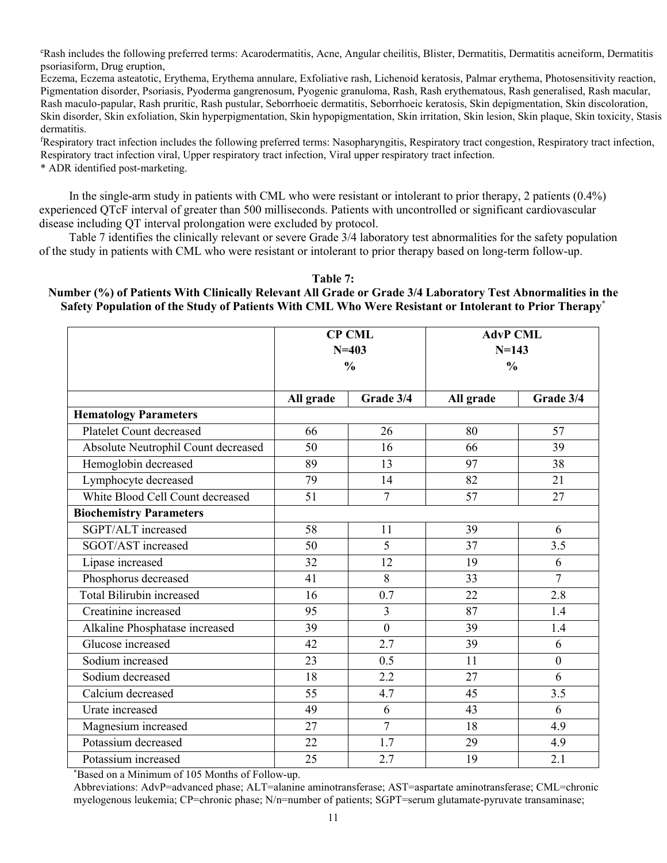<sup>e</sup>Rash includes the following preferred terms: Acarodermatitis, Acne, Angular cheilitis, Blister, Dermatitis, Dermatitis acneiform, Dermatitis psoriasiform, Drug eruption,

Eczema, Eczema asteatotic, Erythema, Erythema annulare, Exfoliative rash, Lichenoid keratosis, Palmar erythema, Photosensitivity reaction, Pigmentation disorder, Psoriasis, Pyoderma gangrenosum, Pyogenic granuloma, Rash, Rash erythematous, Rash generalised, Rash macular, Rash maculo-papular, Rash pruritic, Rash pustular, Seborrhoeic dermatitis, Seborrhoeic keratosis, Skin depigmentation, Skin discoloration, Skin disorder, Skin exfoliation, Skin hyperpigmentation, Skin hypopigmentation, Skin irritation, Skin lesion, Skin plaque, Skin toxicity, Stasis dermatitis.

<sup>f</sup>Respiratory tract infection includes the following preferred terms: Nasopharyngitis, Respiratory tract congestion, Respiratory tract infection, Respiratory tract infection viral, Upper respiratory tract infection, Viral upper respiratory tract infection.

\* ADR identified post-marketing.

In the single-arm study in patients with CML who were resistant or intolerant to prior therapy, 2 patients (0.4%) experienced QTcF interval of greater than 500 milliseconds. Patients with uncontrolled or significant cardiovascular disease including QT interval prolongation were excluded by protocol.

Table 7 identifies the clinically relevant or severe Grade 3/4 laboratory test abnormalities for the safety population of the study in patients with CML who were resistant or intolerant to prior therapy based on long-term follow-up.

#### **Table 7:**

### **Number (%) of Patients With Clinically Relevant All Grade or Grade 3/4 Laboratory Test Abnormalities in the Safety Population of the Study of Patients With CML Who Were Resistant or Intolerant to Prior Therapy\***

|                                     | <b>CP CML</b><br>$N = 403$ |                | <b>AdvP CML</b> |                |
|-------------------------------------|----------------------------|----------------|-----------------|----------------|
|                                     |                            |                | $N = 143$       |                |
|                                     | $\frac{0}{0}$              |                | $\frac{0}{0}$   |                |
|                                     |                            |                |                 |                |
|                                     | All grade                  | Grade 3/4      | All grade       | Grade 3/4      |
| <b>Hematology Parameters</b>        |                            |                |                 |                |
| Platelet Count decreased            | 66                         | 26             | 80              | 57             |
| Absolute Neutrophil Count decreased | 50                         | 16             | 66              | 39             |
| Hemoglobin decreased                | 89                         | 13             | 97              | 38             |
| Lymphocyte decreased                | 79                         | 14             | 82              | 21             |
| White Blood Cell Count decreased    | 51                         | $\overline{7}$ | 57              | 27             |
| <b>Biochemistry Parameters</b>      |                            |                |                 |                |
| SGPT/ALT increased                  | 58                         | 11             | 39              | 6              |
| SGOT/AST increased                  | 50                         | 5              | 37              | 3.5            |
| Lipase increased                    | 32                         | 12             | 19              | 6              |
| Phosphorus decreased                | 41                         | 8              | 33              | $\overline{7}$ |
| <b>Total Bilirubin increased</b>    | 16                         | 0.7            | 22              | 2.8            |
| Creatinine increased                | 95                         | $\overline{3}$ | 87              | 1.4            |
| Alkaline Phosphatase increased      | 39                         | $\overline{0}$ | 39              | 1.4            |
| Glucose increased                   | 42                         | 2.7            | 39              | 6              |
| Sodium increased                    | 23                         | 0.5            | 11              | $\mathbf{0}$   |
| Sodium decreased                    | 18                         | 2.2            | 27              | 6              |
| Calcium decreased                   | 55                         | 4.7            | 45              | 3.5            |
| Urate increased                     | 49                         | 6              | 43              | 6              |
| Magnesium increased                 | 27                         | $\overline{7}$ | 18              | 4.9            |
| Potassium decreased                 | 22                         | 1.7            | 29              | 4.9            |
| Potassium increased                 | 25                         | 2.7            | 19              | 2.1            |

\*Based on a Minimum of 105 Months of Follow-up.

Abbreviations: AdvP=advanced phase; ALT=alanine aminotransferase; AST=aspartate aminotransferase; CML=chronic myelogenous leukemia; CP=chronic phase; N/n=number of patients; SGPT=serum glutamate-pyruvate transaminase;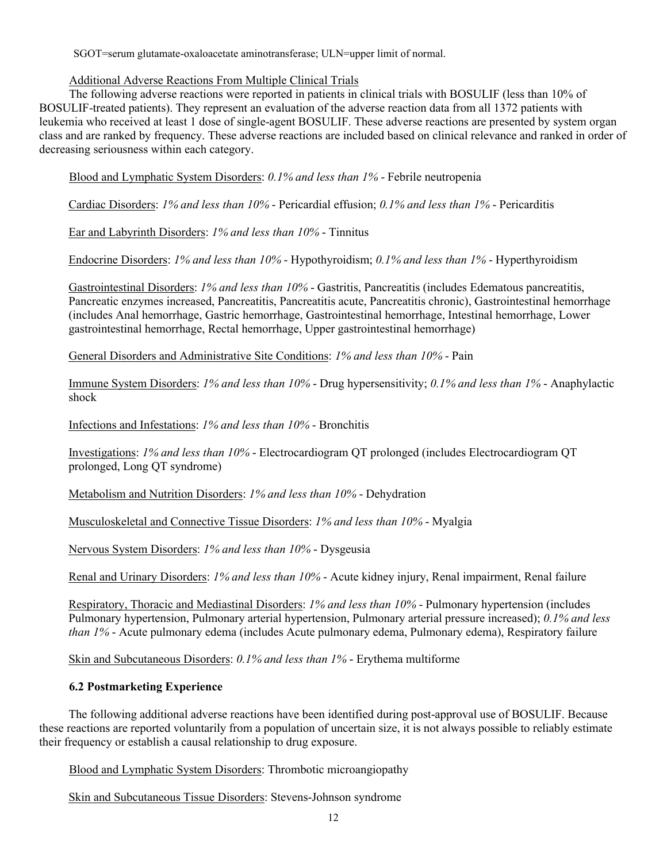SGOT=serum glutamate-oxaloacetate aminotransferase; ULN=upper limit of normal.

### Additional Adverse Reactions From Multiple Clinical Trials

The following adverse reactions were reported in patients in clinical trials with BOSULIF (less than 10% of BOSULIF-treated patients). They represent an evaluation of the adverse reaction data from all 1372 patients with leukemia who received at least 1 dose of single-agent BOSULIF. These adverse reactions are presented by system organ class and are ranked by frequency. These adverse reactions are included based on clinical relevance and ranked in order of decreasing seriousness within each category.

Blood and Lymphatic System Disorders: *0.1% and less than 1%* - Febrile neutropenia

Cardiac Disorders: *1% and less than 10%* - Pericardial effusion; *0.1% and less than 1%* - Pericarditis

Ear and Labyrinth Disorders: *1% and less than 10%* - Tinnitus

Endocrine Disorders: *1% and less than 10%* - Hypothyroidism; *0.1% and less than 1%* - Hyperthyroidism

Gastrointestinal Disorders: *1% and less than 10%* - Gastritis, Pancreatitis (includes Edematous pancreatitis, Pancreatic enzymes increased, Pancreatitis, Pancreatitis acute, Pancreatitis chronic), Gastrointestinal hemorrhage (includes Anal hemorrhage, Gastric hemorrhage, Gastrointestinal hemorrhage, Intestinal hemorrhage, Lower gastrointestinal hemorrhage, Rectal hemorrhage, Upper gastrointestinal hemorrhage)

General Disorders and Administrative Site Conditions: *1% and less than 10%* - Pain

Immune System Disorders: *1% and less than 10%* - Drug hypersensitivity; *0.1% and less than 1%* - Anaphylactic shock

Infections and Infestations: *1% and less than 10%* - Bronchitis

Investigations: *1% and less than 10%* - Electrocardiogram QT prolonged (includes Electrocardiogram QT prolonged, Long QT syndrome)

Metabolism and Nutrition Disorders: *1% and less than 10%* - Dehydration

Musculoskeletal and Connective Tissue Disorders: *1% and less than 10%* - Myalgia

Nervous System Disorders: *1% and less than 10%* - Dysgeusia

Renal and Urinary Disorders: *1% and less than 10%* - Acute kidney injury, Renal impairment, Renal failure

Respiratory, Thoracic and Mediastinal Disorders: *1% and less than 10%* - Pulmonary hypertension (includes Pulmonary hypertension, Pulmonary arterial hypertension, Pulmonary arterial pressure increased); *0.1% and less than 1%* - Acute pulmonary edema (includes Acute pulmonary edema, Pulmonary edema), Respiratory failure

Skin and Subcutaneous Disorders: *0.1% and less than 1%* - Erythema multiforme

## **6.2 Postmarketing Experience**

The following additional adverse reactions have been identified during post-approval use of BOSULIF. Because these reactions are reported voluntarily from a population of uncertain size, it is not always possible to reliably estimate their frequency or establish a causal relationship to drug exposure.

Blood and Lymphatic System Disorders: Thrombotic microangiopathy

Skin and Subcutaneous Tissue Disorders: Stevens-Johnson syndrome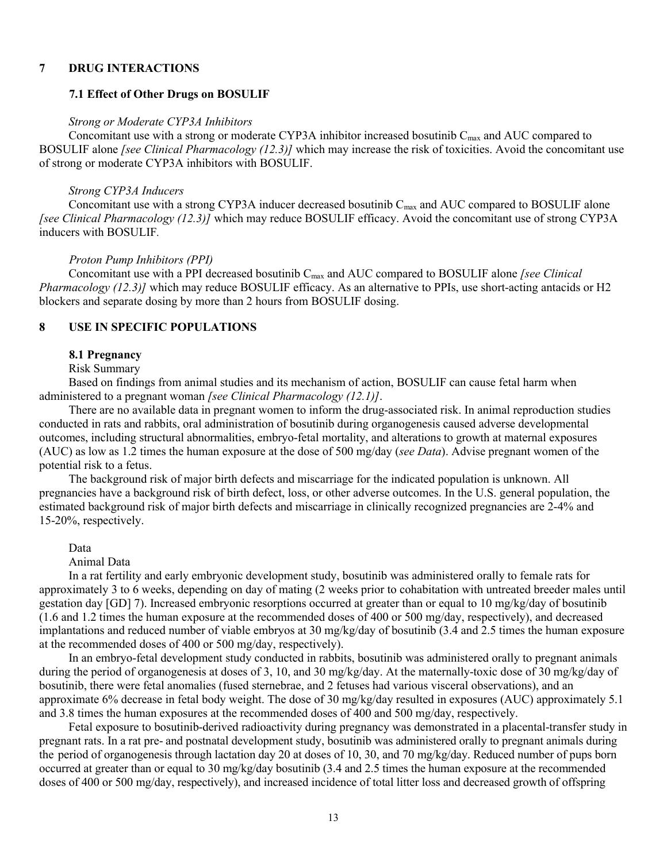#### **7 DRUG INTERACTIONS**

#### **7.1 Effect of Other Drugs on BOSULIF**

#### *Strong or Moderate CYP3A Inhibitors*

Concomitant use with a strong or moderate CYP3A inhibitor increased bosutinib C<sub>max</sub> and AUC compared to BOSULIF alone *[see Clinical Pharmacology (12.3)]* which may increase the risk of toxicities. Avoid the concomitant use of strong or moderate CYP3A inhibitors with BOSULIF.

#### *Strong CYP3A Inducers*

Concomitant use with a strong CYP3A inducer decreased bosutinib  $C_{\text{max}}$  and AUC compared to BOSULIF alone *[see Clinical Pharmacology (12.3)]* which may reduce BOSULIF efficacy. Avoid the concomitant use of strong CYP3A inducers with BOSULIF*.*

#### *Proton Pump Inhibitors (PPI)*

Concomitant use with a PPI decreased bosutinib C<sub>max</sub> and AUC compared to BOSULIF alone *[see Clinical Pharmacology (12.3)]* which may reduce BOSULIF efficacy. As an alternative to PPIs, use short-acting antacids or H2 blockers and separate dosing by more than 2 hours from BOSULIF dosing.

### **8 USE IN SPECIFIC POPULATIONS**

### **8.1 Pregnancy**

#### Risk Summary

Based on findings from animal studies and its mechanism of action, BOSULIF can cause fetal harm when administered to a pregnant woman *[see Clinical Pharmacology (12.1)]*.

There are no available data in pregnant women to inform the drug-associated risk. In animal reproduction studies conducted in rats and rabbits, oral administration of bosutinib during organogenesis caused adverse developmental outcomes, including structural abnormalities, embryo-fetal mortality, and alterations to growth at maternal exposures (AUC) as low as 1.2 times the human exposure at the dose of 500 mg/day (*see Data*). Advise pregnant women of the potential risk to a fetus.

The background risk of major birth defects and miscarriage for the indicated population is unknown. All pregnancies have a background risk of birth defect, loss, or other adverse outcomes. In the U.S. general population, the estimated background risk of major birth defects and miscarriage in clinically recognized pregnancies are 2-4% and 15-20%, respectively.

#### Data

Animal Data

In a rat fertility and early embryonic development study, bosutinib was administered orally to female rats for approximately 3 to 6 weeks, depending on day of mating (2 weeks prior to cohabitation with untreated breeder males until gestation day [GD] 7). Increased embryonic resorptions occurred at greater than or equal to 10 mg/kg/day of bosutinib (1.6 and 1.2 times the human exposure at the recommended doses of 400 or 500 mg/day, respectively), and decreased implantations and reduced number of viable embryos at 30 mg/kg/day of bosutinib (3.4 and 2.5 times the human exposure at the recommended doses of 400 or 500 mg/day, respectively).

In an embryo-fetal development study conducted in rabbits, bosutinib was administered orally to pregnant animals during the period of organogenesis at doses of 3, 10, and 30 mg/kg/day. At the maternally-toxic dose of 30 mg/kg/day of bosutinib, there were fetal anomalies (fused sternebrae, and 2 fetuses had various visceral observations), and an approximate 6% decrease in fetal body weight. The dose of 30 mg/kg/day resulted in exposures (AUC) approximately 5.1 and 3.8 times the human exposures at the recommended doses of 400 and 500 mg/day, respectively.

Fetal exposure to bosutinib-derived radioactivity during pregnancy was demonstrated in a placental-transfer study in pregnant rats. In a rat pre- and postnatal development study, bosutinib was administered orally to pregnant animals during the period of organogenesis through lactation day 20 at doses of 10, 30, and 70 mg/kg/day. Reduced number of pups born occurred at greater than or equal to 30 mg/kg/day bosutinib (3.4 and 2.5 times the human exposure at the recommended doses of 400 or 500 mg/day, respectively), and increased incidence of total litter loss and decreased growth of offspring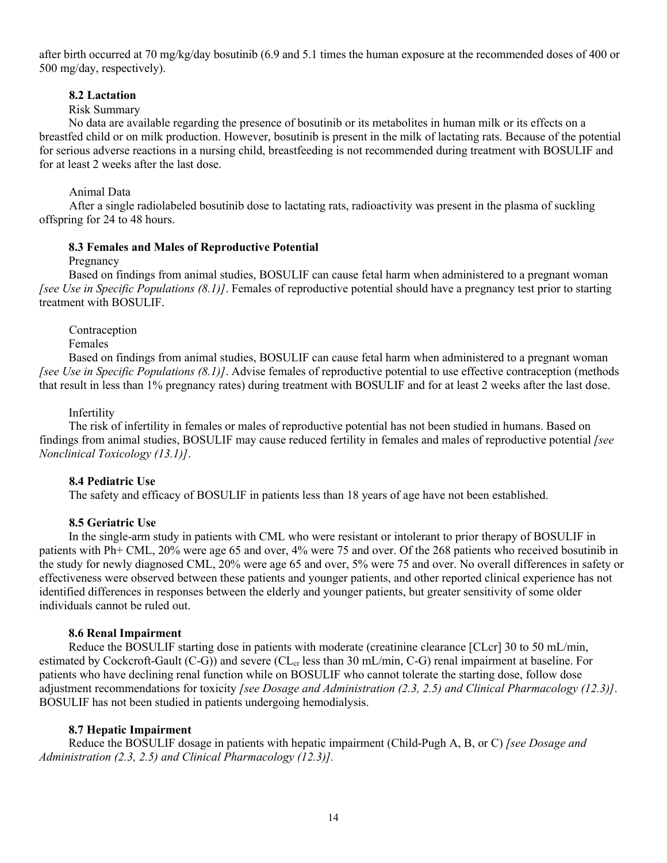after birth occurred at 70 mg/kg/day bosutinib (6.9 and 5.1 times the human exposure at the recommended doses of 400 or 500 mg/day, respectively).

### **8.2 Lactation**

### Risk Summary

No data are available regarding the presence of bosutinib or its metabolites in human milk or its effects on a breastfed child or on milk production. However, bosutinib is present in the milk of lactating rats. Because of the potential for serious adverse reactions in a nursing child, breastfeeding is not recommended during treatment with BOSULIF and for at least 2 weeks after the last dose.

### Animal Data

After a single radiolabeled bosutinib dose to lactating rats, radioactivity was present in the plasma of suckling offspring for 24 to 48 hours.

#### **8.3 Females and Males of Reproductive Potential**

Pregnancy

Based on findings from animal studies, BOSULIF can cause fetal harm when administered to a pregnant woman *[see Use in Specific Populations (8.1)]*. Females of reproductive potential should have a pregnancy test prior to starting treatment with BOSULIF.

Contraception

Females

Based on findings from animal studies, BOSULIF can cause fetal harm when administered to a pregnant woman *[see Use in Specific Populations (8.1)]*. Advise females of reproductive potential to use effective contraception (methods that result in less than 1% pregnancy rates) during treatment with BOSULIF and for at least 2 weeks after the last dose.

### Infertility

The risk of infertility in females or males of reproductive potential has not been studied in humans. Based on findings from animal studies, BOSULIF may cause reduced fertility in females and males of reproductive potential *[see Nonclinical Toxicology (13.1)]*.

### **8.4 Pediatric Use**

The safety and efficacy of BOSULIF in patients less than 18 years of age have not been established.

#### **8.5 Geriatric Use**

In the single-arm study in patients with CML who were resistant or intolerant to prior therapy of BOSULIF in patients with Ph+ CML, 20% were age 65 and over, 4% were 75 and over. Of the 268 patients who received bosutinib in the study for newly diagnosed CML, 20% were age 65 and over, 5% were 75 and over. No overall differences in safety or effectiveness were observed between these patients and younger patients, and other reported clinical experience has not identified differences in responses between the elderly and younger patients, but greater sensitivity of some older individuals cannot be ruled out.

#### **8.6 Renal Impairment**

Reduce the BOSULIF starting dose in patients with moderate (creatinine clearance [CLcr] 30 to 50 mL/min, estimated by Cockcroft-Gault (C-G)) and severe (CL<sub>cr</sub> less than 30 mL/min, C-G) renal impairment at baseline. For patients who have declining renal function while on BOSULIF who cannot tolerate the starting dose, follow dose adjustment recommendations for toxicity *[see Dosage and Administration (2.3, 2.5) and Clinical Pharmacology (12.3)]*. BOSULIF has not been studied in patients undergoing hemodialysis.

### **8.7 Hepatic Impairment**

Reduce the BOSULIF dosage in patients with hepatic impairment (Child-Pugh A, B, or C) *[see Dosage and Administration (2.3, 2.5) and Clinical Pharmacology (12.3)].*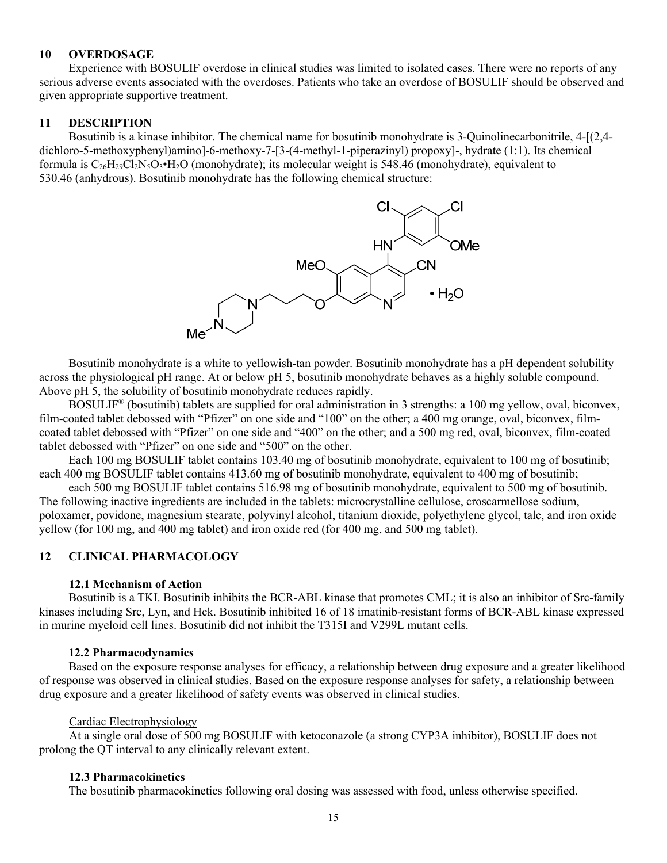### **10 OVERDOSAGE**

Experience with BOSULIF overdose in clinical studies was limited to isolated cases. There were no reports of any serious adverse events associated with the overdoses. Patients who take an overdose of BOSULIF should be observed and given appropriate supportive treatment.

#### **11 DESCRIPTION**

Bosutinib is a kinase inhibitor. The chemical name for bosutinib monohydrate is 3-Quinolinecarbonitrile, 4-[(2,4 dichloro-5-methoxyphenyl)amino]-6-methoxy-7-[3-(4-methyl-1-piperazinyl) propoxy]-, hydrate (1:1). Its chemical formula is  $C_{26}H_{29}Cl_2N_5O_3 \cdot H_2O$  (monohydrate); its molecular weight is 548.46 (monohydrate), equivalent to 530.46 (anhydrous). Bosutinib monohydrate has the following chemical structure:



Bosutinib monohydrate is a white to yellowish-tan powder. Bosutinib monohydrate has a pH dependent solubility across the physiological pH range. At or below pH 5, bosutinib monohydrate behaves as a highly soluble compound. Above pH 5, the solubility of bosutinib monohydrate reduces rapidly.

BOSULIF® (bosutinib) tablets are supplied for oral administration in 3 strengths: a 100 mg yellow, oval, biconvex, film-coated tablet debossed with "Pfizer" on one side and "100" on the other; a 400 mg orange, oval, biconvex, filmcoated tablet debossed with "Pfizer" on one side and "400" on the other; and a 500 mg red, oval, biconvex, film-coated tablet debossed with "Pfizer" on one side and "500" on the other.

Each 100 mg BOSULIF tablet contains 103.40 mg of bosutinib monohydrate, equivalent to 100 mg of bosutinib; each 400 mg BOSULIF tablet contains 413.60 mg of bosutinib monohydrate, equivalent to 400 mg of bosutinib;

each 500 mg BOSULIF tablet contains 516.98 mg of bosutinib monohydrate, equivalent to 500 mg of bosutinib. The following inactive ingredients are included in the tablets: microcrystalline cellulose, croscarmellose sodium, poloxamer, povidone, magnesium stearate, polyvinyl alcohol, titanium dioxide, polyethylene glycol, talc, and iron oxide yellow (for 100 mg, and 400 mg tablet) and iron oxide red (for 400 mg, and 500 mg tablet).

### **12 CLINICAL PHARMACOLOGY**

#### **12.1 Mechanism of Action**

Bosutinib is a TKI. Bosutinib inhibits the BCR-ABL kinase that promotes CML; it is also an inhibitor of Src-family kinases including Src, Lyn, and Hck. Bosutinib inhibited 16 of 18 imatinib-resistant forms of BCR-ABL kinase expressed in murine myeloid cell lines. Bosutinib did not inhibit the T315I and V299L mutant cells.

#### **12.2 Pharmacodynamics**

Based on the exposure response analyses for efficacy, a relationship between drug exposure and a greater likelihood of response was observed in clinical studies. Based on the exposure response analyses for safety, a relationship between drug exposure and a greater likelihood of safety events was observed in clinical studies.

#### Cardiac Electrophysiology

At a single oral dose of 500 mg BOSULIF with ketoconazole (a strong CYP3A inhibitor), BOSULIF does not prolong the QT interval to any clinically relevant extent.

#### **12.3 Pharmacokinetics**

The bosutinib pharmacokinetics following oral dosing was assessed with food, unless otherwise specified.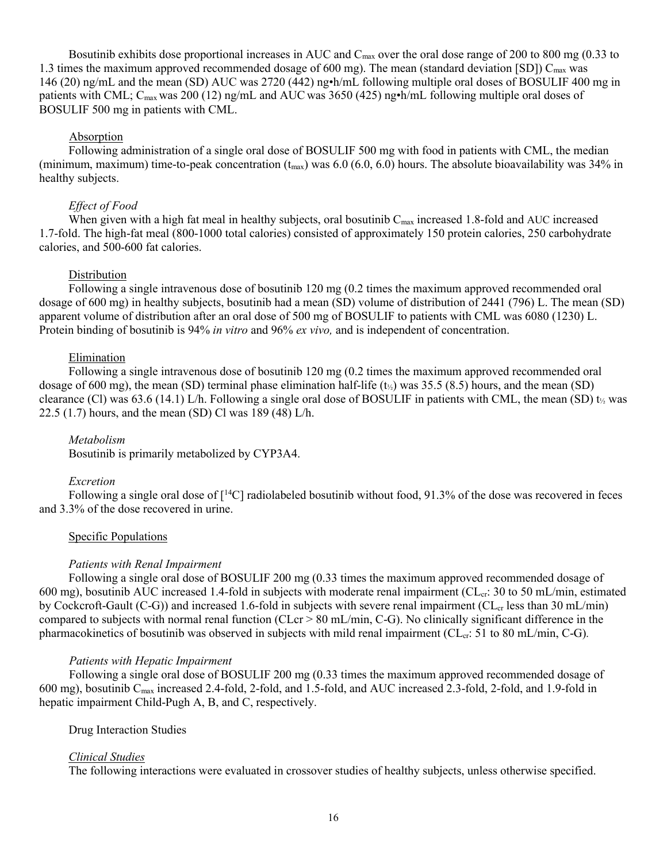Bosutinib exhibits dose proportional increases in AUC and  $C_{\text{max}}$  over the oral dose range of 200 to 800 mg (0.33 to 1.3 times the maximum approved recommended dosage of 600 mg). The mean (standard deviation [SD])  $C_{\text{max}}$  was 146 (20) ng/mL and the mean (SD) AUC was 2720 (442) ng•h/mL following multiple oral doses of BOSULIF 400 mg in patients with CML; C<sub>max</sub> was 200 (12) ng/mL and AUC was 3650 (425) ng•h/mL following multiple oral doses of BOSULIF 500 mg in patients with CML.

#### Absorption

Following administration of a single oral dose of BOSULIF 500 mg with food in patients with CML, the median (minimum, maximum) time-to-peak concentration  $(t_{max})$  was 6.0 (6.0, 6.0) hours. The absolute bioavailability was 34% in healthy subjects.

#### *Effect of Food*

When given with a high fat meal in healthy subjects, oral bosutinib  $C_{\text{max}}$  increased 1.8-fold and AUC increased 1.7-fold. The high-fat meal (800-1000 total calories) consisted of approximately 150 protein calories, 250 carbohydrate calories, and 500-600 fat calories.

#### **Distribution**

Following a single intravenous dose of bosutinib 120 mg (0.2 times the maximum approved recommended oral dosage of 600 mg) in healthy subjects, bosutinib had a mean (SD) volume of distribution of 2441 (796) L. The mean (SD) apparent volume of distribution after an oral dose of 500 mg of BOSULIF to patients with CML was 6080 (1230) L. Protein binding of bosutinib is 94% *in vitro* and 96% *ex vivo,* and is independent of concentration.

### Elimination

Following a single intravenous dose of bosutinib 120 mg (0.2 times the maximum approved recommended oral dosage of 600 mg), the mean (SD) terminal phase elimination half-life  $(t_{\gamma})$  was 35.5 (8.5) hours, and the mean (SD) clearance (Cl) was 63.6 (14.1) L/h. Following a single oral dose of BOSULIF in patients with CML, the mean (SD)  $t_2$  was 22.5 (1.7) hours, and the mean (SD) Cl was 189 (48) L/h.

#### *Metabolism*

Bosutinib is primarily metabolized by CYP3A4.

#### *Excretion*

Following a single oral dose of  $\lceil \frac{14}{\text{C}} \rceil$  radiolabeled bosutinib without food, 91.3% of the dose was recovered in feces and 3.3% of the dose recovered in urine.

#### Specific Populations

#### *Patients with Renal Impairment*

Following a single oral dose of BOSULIF 200 mg (0.33 times the maximum approved recommended dosage of 600 mg), bosutinib AUC increased 1.4-fold in subjects with moderate renal impairment ( $CL_{cr}$ : 30 to 50 mL/min, estimated by Cockcroft-Gault (C-G)) and increased 1.6-fold in subjects with severe renal impairment ( $CL<sub>cr</sub>$  less than 30 mL/min) compared to subjects with normal renal function (CLcr > 80 mL/min, C-G). No clinically significant difference in the pharmacokinetics of bosutinib was observed in subjects with mild renal impairment (CL<sub>cr</sub>: 51 to 80 mL/min, C-G).

#### *Patients with Hepatic Impairment*

Following a single oral dose of BOSULIF 200 mg (0.33 times the maximum approved recommended dosage of 600 mg), bosutinib Cmax increased 2.4-fold, 2-fold, and 1.5-fold, and AUC increased 2.3-fold, 2-fold, and 1.9-fold in hepatic impairment Child-Pugh A, B, and C, respectively.

#### Drug Interaction Studies

#### *Clinical Studies*

The following interactions were evaluated in crossover studies of healthy subjects, unless otherwise specified.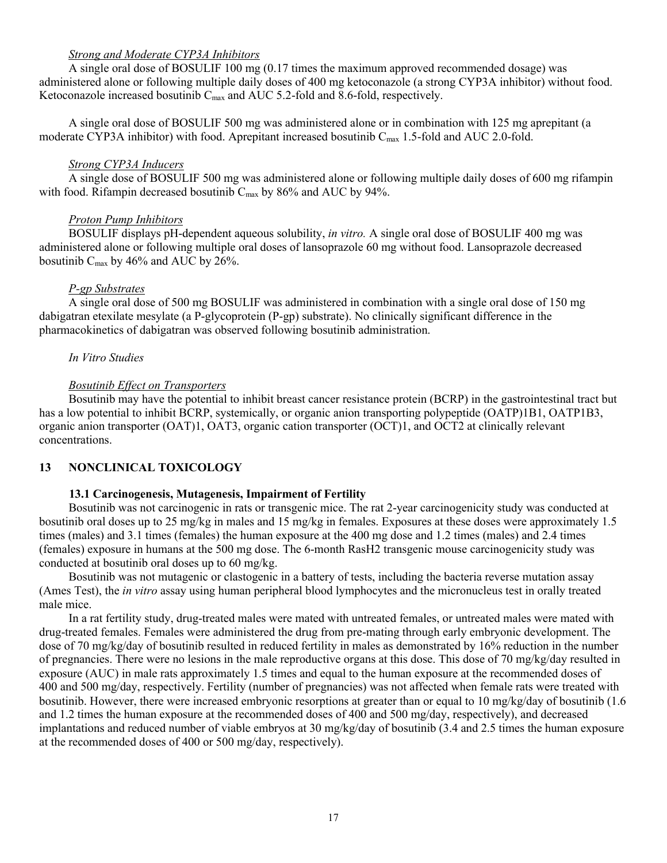### *Strong and Moderate CYP3A Inhibitors*

A single oral dose of BOSULIF 100 mg (0.17 times the maximum approved recommended dosage) was administered alone or following multiple daily doses of 400 mg ketoconazole (a strong CYP3A inhibitor) without food. Ketoconazole increased bosutinib C<sub>max</sub> and AUC 5.2-fold and 8.6-fold, respectively.

A single oral dose of BOSULIF 500 mg was administered alone or in combination with 125 mg aprepitant (a moderate CYP3A inhibitor) with food. Aprepitant increased bosutinib Cmax 1.5-fold and AUC 2.0-fold.

#### *Strong CYP3A Inducers*

A single dose of BOSULIF 500 mg was administered alone or following multiple daily doses of 600 mg rifampin with food. Rifampin decreased bosutinib  $C_{\text{max}}$  by 86% and AUC by 94%.

### *Proton Pump Inhibitors*

BOSULIF displays pH-dependent aqueous solubility, *in vitro.* A single oral dose of BOSULIF 400 mg was administered alone or following multiple oral doses of lansoprazole 60 mg without food. Lansoprazole decreased bosutinib  $C_{\text{max}}$  by 46% and AUC by 26%.

### *P-gp Substrates*

A single oral dose of 500 mg BOSULIF was administered in combination with a single oral dose of 150 mg dabigatran etexilate mesylate (a P-glycoprotein (P-gp) substrate). No clinically significant difference in the pharmacokinetics of dabigatran was observed following bosutinib administration.

### *In Vitro Studies*

### *Bosutinib Effect on Transporters*

Bosutinib may have the potential to inhibit breast cancer resistance protein (BCRP) in the gastrointestinal tract but has a low potential to inhibit BCRP, systemically, or organic anion transporting polypeptide (OATP)1B1, OATP1B3, organic anion transporter (OAT)1, OAT3, organic cation transporter (OCT)1, and OCT2 at clinically relevant concentrations.

### **13 NONCLINICAL TOXICOLOGY**

### **13.1 Carcinogenesis, Mutagenesis, Impairment of Fertility**

Bosutinib was not carcinogenic in rats or transgenic mice. The rat 2-year carcinogenicity study was conducted at bosutinib oral doses up to 25 mg/kg in males and 15 mg/kg in females. Exposures at these doses were approximately 1.5 times (males) and 3.1 times (females) the human exposure at the 400 mg dose and 1.2 times (males) and 2.4 times (females) exposure in humans at the 500 mg dose. The 6-month RasH2 transgenic mouse carcinogenicity study was conducted at bosutinib oral doses up to 60 mg/kg.

Bosutinib was not mutagenic or clastogenic in a battery of tests, including the bacteria reverse mutation assay (Ames Test), the *in vitro* assay using human peripheral blood lymphocytes and the micronucleus test in orally treated male mice.

In a rat fertility study, drug-treated males were mated with untreated females, or untreated males were mated with drug-treated females. Females were administered the drug from pre-mating through early embryonic development. The dose of 70 mg/kg/day of bosutinib resulted in reduced fertility in males as demonstrated by 16% reduction in the number of pregnancies. There were no lesions in the male reproductive organs at this dose. This dose of 70 mg/kg/day resulted in exposure (AUC) in male rats approximately 1.5 times and equal to the human exposure at the recommended doses of 400 and 500 mg/day, respectively. Fertility (number of pregnancies) was not affected when female rats were treated with bosutinib. However, there were increased embryonic resorptions at greater than or equal to 10 mg/kg/day of bosutinib (1.6 and 1.2 times the human exposure at the recommended doses of 400 and 500 mg/day, respectively), and decreased implantations and reduced number of viable embryos at 30 mg/kg/day of bosutinib (3.4 and 2.5 times the human exposure at the recommended doses of 400 or 500 mg/day, respectively).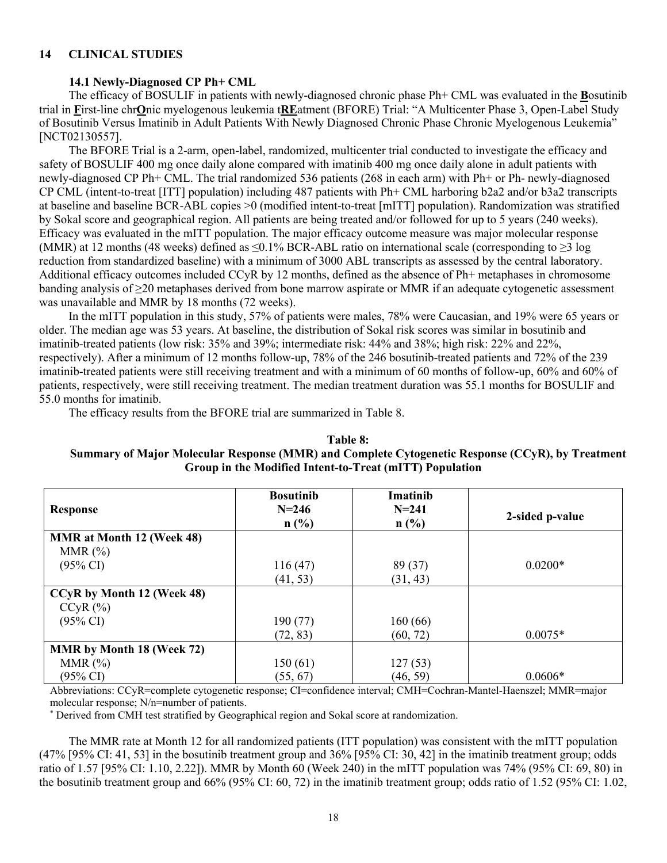### **14 CLINICAL STUDIES**

### **14.1 Newly-Diagnosed CP Ph+ CML**

The efficacy of BOSULIF in patients with newly-diagnosed chronic phase Ph+ CML was evaluated in the **B**osutinib trial in **F**irst-line chr**O**nic myelogenous leukemia t**RE**atment (BFORE) Trial: "A Multicenter Phase 3, Open-Label Study of Bosutinib Versus Imatinib in Adult Patients With Newly Diagnosed Chronic Phase Chronic Myelogenous Leukemia" [NCT02130557].

The BFORE Trial is a 2-arm, open-label, randomized, multicenter trial conducted to investigate the efficacy and safety of BOSULIF 400 mg once daily alone compared with imatinib 400 mg once daily alone in adult patients with newly-diagnosed CP Ph+ CML. The trial randomized 536 patients (268 in each arm) with Ph+ or Ph- newly-diagnosed CP CML (intent-to-treat [ITT] population) including 487 patients with Ph+ CML harboring b2a2 and/or b3a2 transcripts at baseline and baseline BCR-ABL copies >0 (modified intent-to-treat [mITT] population). Randomization was stratified by Sokal score and geographical region. All patients are being treated and/or followed for up to 5 years (240 weeks). Efficacy was evaluated in the mITT population. The major efficacy outcome measure was major molecular response (MMR) at 12 months (48 weeks) defined as ≤0.1% BCR-ABL ratio on international scale (corresponding to ≥3 log reduction from standardized baseline) with a minimum of 3000 ABL transcripts as assessed by the central laboratory. Additional efficacy outcomes included CCyR by 12 months, defined as the absence of Ph+ metaphases in chromosome banding analysis of ≥20 metaphases derived from bone marrow aspirate or MMR if an adequate cytogenetic assessment was unavailable and MMR by 18 months (72 weeks).

In the mITT population in this study, 57% of patients were males, 78% were Caucasian, and 19% were 65 years or older. The median age was 53 years. At baseline, the distribution of Sokal risk scores was similar in bosutinib and imatinib-treated patients (low risk: 35% and 39%; intermediate risk: 44% and 38%; high risk: 22% and 22%, respectively). After a minimum of 12 months follow-up, 78% of the 246 bosutinib-treated patients and 72% of the 239 imatinib-treated patients were still receiving treatment and with a minimum of 60 months of follow-up, 60% and 60% of patients, respectively, were still receiving treatment. The median treatment duration was 55.1 months for BOSULIF and 55.0 months for imatinib.

The efficacy results from the BFORE trial are summarized in Table 8.

### **Table 8: Summary of Major Molecular Response (MMR) and Complete Cytogenetic Response (CCyR), by Treatment Group in the Modified Intent-to-Treat (mITT) Population**

|                                  | <b>Bosutinib</b> | Imatinib  |                 |
|----------------------------------|------------------|-----------|-----------------|
| <b>Response</b>                  | $N = 246$        | $N = 241$ | 2-sided p-value |
|                                  | $n$ (%)          | $n$ (%)   |                 |
| <b>MMR</b> at Month 12 (Week 48) |                  |           |                 |
| MMR $(\%)$                       |                  |           |                 |
| $(95\% \text{ CI})$              | 116(47)          | 89 (37)   | $0.0200*$       |
|                                  | (41, 53)         | (31, 43)  |                 |
| CCyR by Month 12 (Week 48)       |                  |           |                 |
| $CCyR$ $(\%)$                    |                  |           |                 |
| $(95\% \text{ CI})$              | 190 (77)         | 160(66)   |                 |
|                                  | (72, 83)         | (60, 72)  | $0.0075*$       |
| <b>MMR</b> by Month 18 (Week 72) |                  |           |                 |
| MMR $(\%)$                       | 150(61)          | 127(53)   |                 |
| $(95\% \text{ CI})$              | (55, 67)         | (46, 59)  | $0.0606*$       |

Abbreviations: CCyR=complete cytogenetic response; CI=confidence interval; CMH=Cochran-Mantel-Haenszel; MMR=major molecular response; N/n=number of patients.

\* Derived from CMH test stratified by Geographical region and Sokal score at randomization.

The MMR rate at Month 12 for all randomized patients (ITT population) was consistent with the mITT population (47% [95% CI: 41, 53] in the bosutinib treatment group and 36% [95% CI: 30, 42] in the imatinib treatment group; odds ratio of 1.57 [95% CI: 1.10, 2.22]). MMR by Month 60 (Week 240) in the mITT population was 74% (95% CI: 69, 80) in the bosutinib treatment group and 66% (95% CI: 60, 72) in the imatinib treatment group; odds ratio of 1.52 (95% CI: 1.02,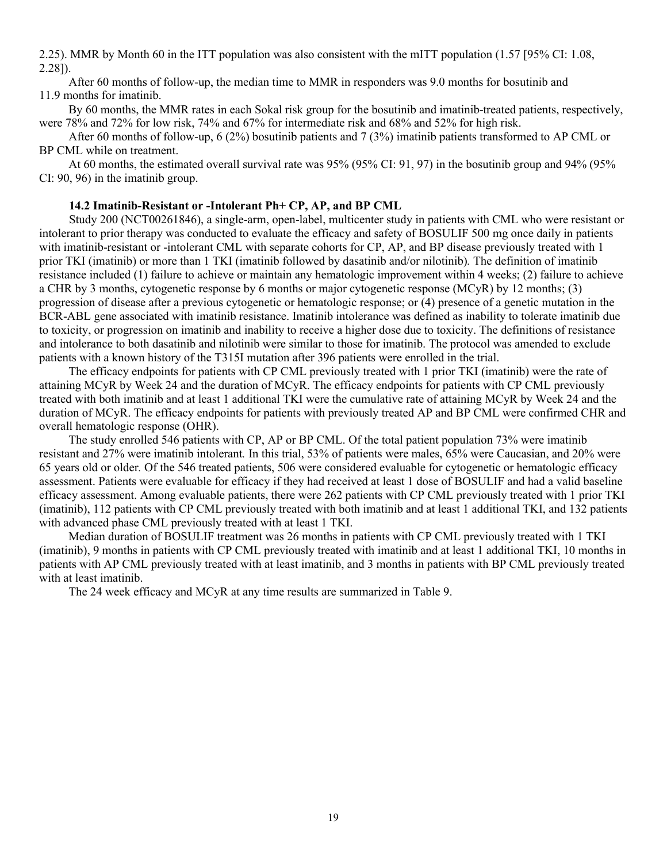2.25). MMR by Month 60 in the ITT population was also consistent with the mITT population (1.57 [95% CI: 1.08, 2.28]).

After 60 months of follow-up, the median time to MMR in responders was 9.0 months for bosutinib and 11.9 months for imatinib.

By 60 months, the MMR rates in each Sokal risk group for the bosutinib and imatinib-treated patients, respectively, were 78% and 72% for low risk, 74% and 67% for intermediate risk and 68% and 52% for high risk.

After 60 months of follow-up, 6 (2%) bosutinib patients and 7 (3%) imatinib patients transformed to AP CML or BP CML while on treatment.

At 60 months, the estimated overall survival rate was 95% (95% CI: 91, 97) in the bosutinib group and 94% (95% CI: 90, 96) in the imatinib group.

### **14.2 Imatinib-Resistant or -Intolerant Ph+ CP, AP, and BP CML**

Study 200 (NCT00261846), a single-arm, open-label, multicenter study in patients with CML who were resistant or intolerant to prior therapy was conducted to evaluate the efficacy and safety of BOSULIF 500 mg once daily in patients with imatinib-resistant or -intolerant CML with separate cohorts for CP, AP, and BP disease previously treated with 1 prior TKI (imatinib) or more than 1 TKI (imatinib followed by dasatinib and/or nilotinib)*.* The definition of imatinib resistance included (1) failure to achieve or maintain any hematologic improvement within 4 weeks; (2) failure to achieve a CHR by 3 months, cytogenetic response by 6 months or major cytogenetic response (MCyR) by 12 months; (3) progression of disease after a previous cytogenetic or hematologic response; or (4) presence of a genetic mutation in the BCR-ABL gene associated with imatinib resistance. Imatinib intolerance was defined as inability to tolerate imatinib due to toxicity, or progression on imatinib and inability to receive a higher dose due to toxicity. The definitions of resistance and intolerance to both dasatinib and nilotinib were similar to those for imatinib. The protocol was amended to exclude patients with a known history of the T315I mutation after 396 patients were enrolled in the trial.

The efficacy endpoints for patients with CP CML previously treated with 1 prior TKI (imatinib) were the rate of attaining MCyR by Week 24 and the duration of MCyR. The efficacy endpoints for patients with CP CML previously treated with both imatinib and at least 1 additional TKI were the cumulative rate of attaining MCyR by Week 24 and the duration of MCyR. The efficacy endpoints for patients with previously treated AP and BP CML were confirmed CHR and overall hematologic response (OHR).

The study enrolled 546 patients with CP, AP or BP CML. Of the total patient population 73% were imatinib resistant and 27% were imatinib intolerant*.* In this trial, 53% of patients were males, 65% were Caucasian, and 20% were 65 years old or older*.* Of the 546 treated patients, 506 were considered evaluable for cytogenetic or hematologic efficacy assessment. Patients were evaluable for efficacy if they had received at least 1 dose of BOSULIF and had a valid baseline efficacy assessment. Among evaluable patients, there were 262 patients with CP CML previously treated with 1 prior TKI (imatinib), 112 patients with CP CML previously treated with both imatinib and at least 1 additional TKI, and 132 patients with advanced phase CML previously treated with at least 1 TKI.

Median duration of BOSULIF treatment was 26 months in patients with CP CML previously treated with 1 TKI (imatinib), 9 months in patients with CP CML previously treated with imatinib and at least 1 additional TKI, 10 months in patients with AP CML previously treated with at least imatinib, and 3 months in patients with BP CML previously treated with at least imatinib.

The 24 week efficacy and MCyR at any time results are summarized in Table 9.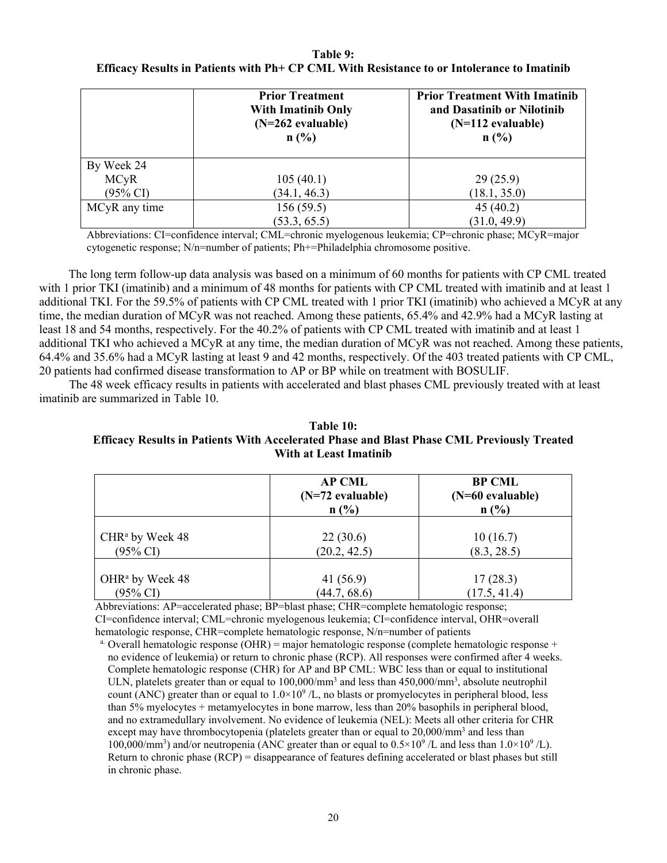### **Table 9: Efficacy Results in Patients with Ph+ CP CML With Resistance to or Intolerance to Imatinib**

|               | <b>Prior Treatment</b><br><b>With Imatinib Only</b><br>$(N=262$ evaluable)<br>n(%) | <b>Prior Treatment With Imatinib</b><br>and Dasatinib or Nilotinib<br>$(N=112$ evaluable)<br>n(%) |
|---------------|------------------------------------------------------------------------------------|---------------------------------------------------------------------------------------------------|
| By Week 24    |                                                                                    |                                                                                                   |
| <b>MCyR</b>   | 105(40.1)                                                                          | 29(25.9)                                                                                          |
| (95% CI)      | (34.1, 46.3)                                                                       | (18.1, 35.0)                                                                                      |
| MCyR any time | 156(59.5)                                                                          | 45(40.2)                                                                                          |
|               | (53.3, 65.5)                                                                       | (31.0, 49.9)                                                                                      |

Abbreviations: CI=confidence interval; CML=chronic myelogenous leukemia; CP=chronic phase; MCyR=major cytogenetic response; N/n=number of patients; Ph+=Philadelphia chromosome positive.

The long term follow-up data analysis was based on a minimum of 60 months for patients with CP CML treated with 1 prior TKI (imatinib) and a minimum of 48 months for patients with CP CML treated with imatinib and at least 1 additional TKI. For the 59.5% of patients with CP CML treated with 1 prior TKI (imatinib) who achieved a MCyR at any time, the median duration of MCyR was not reached. Among these patients, 65.4% and 42.9% had a MCyR lasting at least 18 and 54 months, respectively. For the 40.2% of patients with CP CML treated with imatinib and at least 1 additional TKI who achieved a MCyR at any time, the median duration of MCyR was not reached. Among these patients, 64.4% and 35.6% had a MCyR lasting at least 9 and 42 months, respectively. Of the 403 treated patients with CP CML, 20 patients had confirmed disease transformation to AP or BP while on treatment with BOSULIF.

The 48 week efficacy results in patients with accelerated and blast phases CML previously treated with at least imatinib are summarized in Table 10.

### **Table 10: Efficacy Results in Patients With Accelerated Phase and Blast Phase CML Previously Treated With at Least Imatinib**

|                             | <b>AP CML</b><br>$(N=72$ evaluable)<br>n(%) | <b>BP CML</b><br>(N=60 evaluable)<br>n(%) |
|-----------------------------|---------------------------------------------|-------------------------------------------|
| CHR <sup>a</sup> by Week 48 | 22(30.6)                                    | 10(16.7)                                  |
| $(95\% \text{ CI})$         | (20.2, 42.5)                                | (8.3, 28.5)                               |
| OHR <sup>a</sup> by Week 48 | 41(56.9)                                    | 17(28.3)                                  |
| $(95\% \text{ CI})$         | (44.7, 68.6)                                | (17.5, 41.4)                              |

Abbreviations: AP=accelerated phase; BP=blast phase; CHR=complete hematologic response; CI=confidence interval; CML=chronic myelogenous leukemia; CI=confidence interval, OHR=overall hematologic response, CHR=complete hematologic response, N/n=number of patients

<sup>a.</sup> Overall hematologic response (OHR) = major hematologic response (complete hematologic response + no evidence of leukemia) or return to chronic phase (RCP). All responses were confirmed after 4 weeks. Complete hematologic response (CHR) for AP and BP CML: WBC less than or equal to institutional ULN, platelets greater than or equal to  $100,000/\text{mm}^3$  and less than  $450,000/\text{mm}^3$ , absolute neutrophil count (ANC) greater than or equal to  $1.0 \times 10^9$  /L, no blasts or promyelocytes in peripheral blood, less than 5% myelocytes + metamyelocytes in bone marrow, less than 20% basophils in peripheral blood, and no extramedullary involvement. No evidence of leukemia (NEL): Meets all other criteria for CHR except may have thrombocytopenia (platelets greater than or equal to  $20,000/\text{mm}^3$  and less than 100,000/mm<sup>3</sup>) and/or neutropenia (ANC greater than or equal to  $0.5 \times 10^9$  /L and less than  $1.0 \times 10^9$  /L). Return to chronic phase (RCP) = disappearance of features defining accelerated or blast phases but still in chronic phase.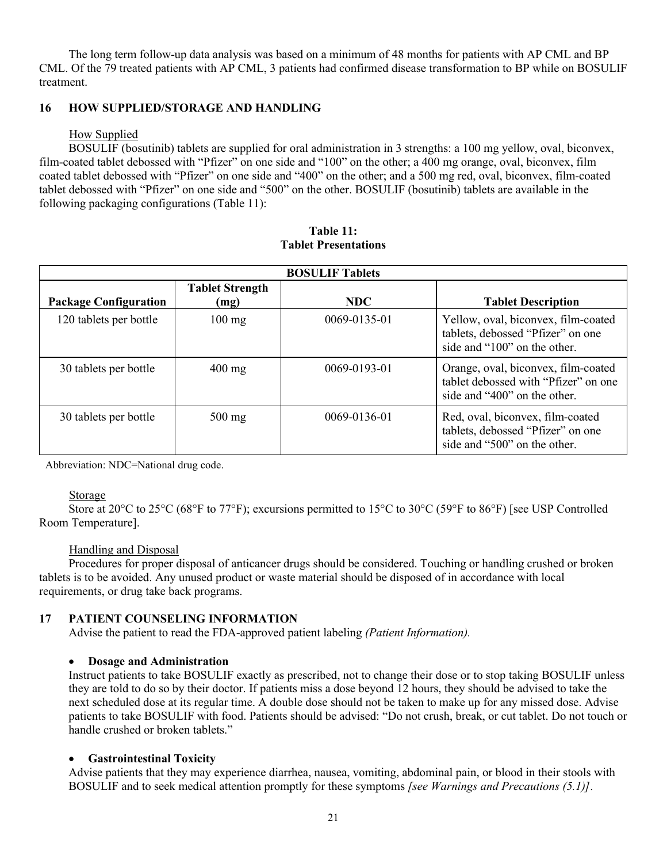The long term follow-up data analysis was based on a minimum of 48 months for patients with AP CML and BP CML. Of the 79 treated patients with AP CML, 3 patients had confirmed disease transformation to BP while on BOSULIF treatment.

### **16 HOW SUPPLIED/STORAGE AND HANDLING**

### How Supplied

BOSULIF (bosutinib) tablets are supplied for oral administration in 3 strengths: a 100 mg yellow, oval, biconvex, film-coated tablet debossed with "Pfizer" on one side and "100" on the other; a 400 mg orange, oval, biconvex, film coated tablet debossed with "Pfizer" on one side and "400" on the other; and a 500 mg red, oval, biconvex, film-coated tablet debossed with "Pfizer" on one side and "500" on the other. BOSULIF (bosutinib) tablets are available in the following packaging configurations (Table 11):

| <b>BOSULIF Tablets</b>       |                                |                    |                                                                                                             |  |  |
|------------------------------|--------------------------------|--------------------|-------------------------------------------------------------------------------------------------------------|--|--|
| <b>Package Configuration</b> | <b>Tablet Strength</b><br>(mg) | <b>NDC</b>         | <b>Tablet Description</b>                                                                                   |  |  |
| 120 tablets per bottle       | $100 \text{ mg}$               | $0069 - 0135 - 01$ | Yellow, oval, biconvex, film-coated<br>tablets, debossed "Pfizer" on one<br>side and "100" on the other.    |  |  |
| 30 tablets per bottle        | $400 \text{ mg}$               | 0069-0193-01       | Orange, oval, biconvex, film-coated<br>tablet debossed with "Pfizer" on one<br>side and "400" on the other. |  |  |
| 30 tablets per bottle        | $500$ mg                       | 0069-0136-01       | Red, oval, biconvex, film-coated<br>tablets, debossed "Pfizer" on one<br>side and "500" on the other.       |  |  |

**Table 11: Tablet Presentations**

Abbreviation: NDC=National drug code.

#### Storage

Store at 20°C to 25°C (68°F to 77°F); excursions permitted to 15°C to 30°C (59°F to 86°F) [see USP Controlled Room Temperature].

#### Handling and Disposal

Procedures for proper disposal of anticancer drugs should be considered. Touching or handling crushed or broken tablets is to be avoided. Any unused product or waste material should be disposed of in accordance with local requirements, or drug take back programs.

#### **17 PATIENT COUNSELING INFORMATION**

Advise the patient to read the FDA-approved patient labeling *(Patient Information).*

#### **Dosage and Administration**

Instruct patients to take BOSULIF exactly as prescribed, not to change their dose or to stop taking BOSULIF unless they are told to do so by their doctor. If patients miss a dose beyond 12 hours, they should be advised to take the next scheduled dose at its regular time. A double dose should not be taken to make up for any missed dose. Advise patients to take BOSULIF with food. Patients should be advised: "Do not crush, break, or cut tablet. Do not touch or handle crushed or broken tablets."

#### **Gastrointestinal Toxicity**

Advise patients that they may experience diarrhea, nausea, vomiting, abdominal pain, or blood in their stools with BOSULIF and to seek medical attention promptly for these symptoms *[see Warnings and Precautions (5.1)]*.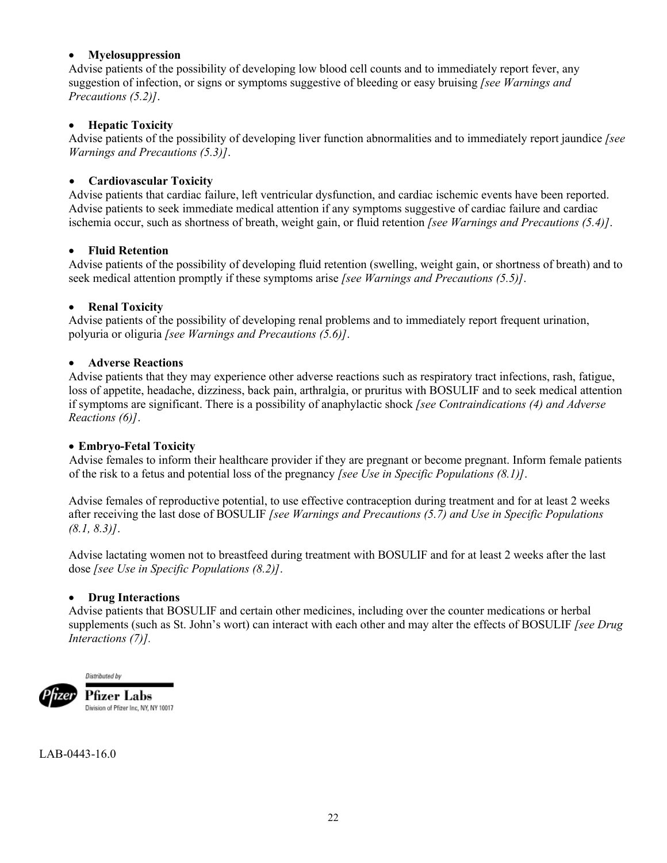### **Myelosuppression**

Advise patients of the possibility of developing low blood cell counts and to immediately report fever, any suggestion of infection, or signs or symptoms suggestive of bleeding or easy bruising *[see Warnings and Precautions (5.2)]*.

### **Hepatic Toxicity**

Advise patients of the possibility of developing liver function abnormalities and to immediately report jaundice *[see Warnings and Precautions (5.3)]*.

### **Cardiovascular Toxicity**

Advise patients that cardiac failure, left ventricular dysfunction, and cardiac ischemic events have been reported. Advise patients to seek immediate medical attention if any symptoms suggestive of cardiac failure and cardiac ischemia occur, such as shortness of breath, weight gain, or fluid retention *[see Warnings and Precautions (5.4)]*.

### **Fluid Retention**

Advise patients of the possibility of developing fluid retention (swelling, weight gain, or shortness of breath) and to seek medical attention promptly if these symptoms arise *[see Warnings and Precautions (5.5)]*.

### **Renal Toxicity**

Advise patients of the possibility of developing renal problems and to immediately report frequent urination, polyuria or oliguria *[see Warnings and Precautions (5.6)]*.

### **Adverse Reactions**

Advise patients that they may experience other adverse reactions such as respiratory tract infections, rash, fatigue, loss of appetite, headache, dizziness, back pain, arthralgia, or pruritus with BOSULIF and to seek medical attention if symptoms are significant. There is a possibility of anaphylactic shock *[see Contraindications (4) and Adverse Reactions (6)]*.

### **Embryo-Fetal Toxicity**

Advise females to inform their healthcare provider if they are pregnant or become pregnant. Inform female patients of the risk to a fetus and potential loss of the pregnancy *[see Use in Specific Populations (8.1)]*.

Advise females of reproductive potential, to use effective contraception during treatment and for at least 2 weeks after receiving the last dose of BOSULIF *[see Warnings and Precautions (5.7) and Use in Specific Populations (8.1, 8.3)]*.

Advise lactating women not to breastfeed during treatment with BOSULIF and for at least 2 weeks after the last dose *[see Use in Specific Populations (8.2)]*.

### **Drug Interactions**

Advise patients that BOSULIF and certain other medicines, including over the counter medications or herbal supplements (such as St. John's wort) can interact with each other and may alter the effects of BOSULIF *[see Drug Interactions (7)].*



Pfizer Labs Division of Pfizer Inc, NY, NY 10017

LAB-0443-16.0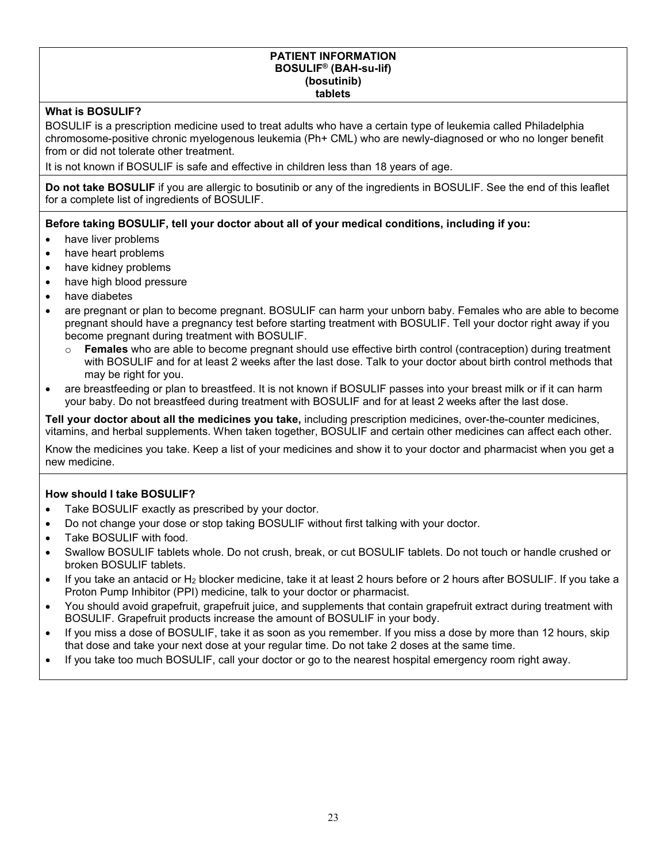#### **PATIENT INFORMATION BOSULIF® (BAH-su-lif) (bosutinib) tablets**

## **What is BOSULIF?**

BOSULIF is a prescription medicine used to treat adults who have a certain type of leukemia called Philadelphia chromosome-positive chronic myelogenous leukemia (Ph+ CML) who are newly-diagnosed or who no longer benefit from or did not tolerate other treatment.

It is not known if BOSULIF is safe and effective in children less than 18 years of age.

**Do not take BOSULIF** if you are allergic to bosutinib or any of the ingredients in BOSULIF. See the end of this leaflet for a complete list of ingredients of BOSULIF.

**Before taking BOSULIF, tell your doctor about all of your medical conditions, including if you:**

- have liver problems
- have heart problems
- have kidney problems
- have high blood pressure
- have diabetes
- are pregnant or plan to become pregnant. BOSULIF can harm your unborn baby. Females who are able to become pregnant should have a pregnancy test before starting treatment with BOSULIF. Tell your doctor right away if you become pregnant during treatment with BOSULIF.
	- o **Females** who are able to become pregnant should use effective birth control (contraception) during treatment with BOSULIF and for at least 2 weeks after the last dose. Talk to your doctor about birth control methods that may be right for you.
- are breastfeeding or plan to breastfeed. It is not known if BOSULIF passes into your breast milk or if it can harm your baby. Do not breastfeed during treatment with BOSULIF and for at least 2 weeks after the last dose.

**Tell your doctor about all the medicines you take,** including prescription medicines, over-the-counter medicines, vitamins, and herbal supplements. When taken together, BOSULIF and certain other medicines can affect each other.

Know the medicines you take. Keep a list of your medicines and show it to your doctor and pharmacist when you get a new medicine.

### **How should I take BOSULIF?**

- Take BOSULIF exactly as prescribed by your doctor.
- Do not change your dose or stop taking BOSULIF without first talking with your doctor.
- Take BOSULIF with food.
- Swallow BOSULIF tablets whole. Do not crush, break, or cut BOSULIF tablets. Do not touch or handle crushed or broken BOSULIF tablets.
- If you take an antacid or H<sup>2</sup> blocker medicine, take it at least 2 hours before or 2 hours after BOSULIF. If you take a Proton Pump Inhibitor (PPI) medicine, talk to your doctor or pharmacist.
- You should avoid grapefruit, grapefruit juice, and supplements that contain grapefruit extract during treatment with BOSULIF. Grapefruit products increase the amount of BOSULIF in your body.
- If you miss a dose of BOSULIF, take it as soon as you remember. If you miss a dose by more than 12 hours, skip that dose and take your next dose at your regular time. Do not take 2 doses at the same time.
- If you take too much BOSULIF, call your doctor or go to the nearest hospital emergency room right away.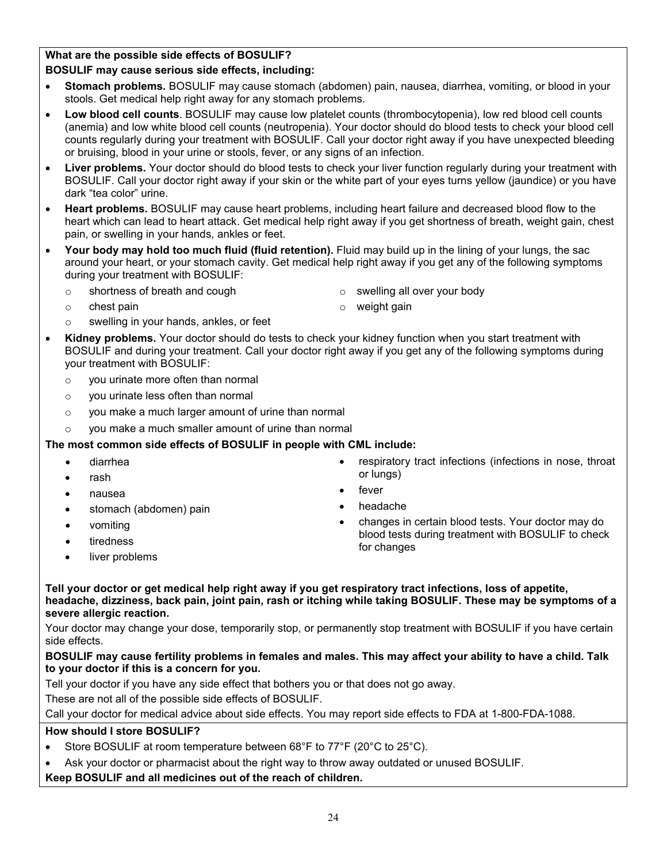# **What are the possible side effects of BOSULIF?**

## **BOSULIF may cause serious side effects, including:**

- **Stomach problems.** BOSULIF may cause stomach (abdomen) pain, nausea, diarrhea, vomiting, or blood in your stools. Get medical help right away for any stomach problems.
- **Low blood cell counts**. BOSULIF may cause low platelet counts (thrombocytopenia), low red blood cell counts (anemia) and low white blood cell counts (neutropenia). Your doctor should do blood tests to check your blood cell counts regularly during your treatment with BOSULIF. Call your doctor right away if you have unexpected bleeding or bruising, blood in your urine or stools, fever, or any signs of an infection.
- **Liver problems.** Your doctor should do blood tests to check your liver function regularly during your treatment with BOSULIF. Call your doctor right away if your skin or the white part of your eyes turns yellow (jaundice) or you have dark "tea color" urine.
- **Heart problems.** BOSULIF may cause heart problems, including heart failure and decreased blood flow to the heart which can lead to heart attack. Get medical help right away if you get shortness of breath, weight gain, chest pain, or swelling in your hands, ankles or feet.
- **Your body may hold too much fluid (fluid retention).** Fluid may build up in the lining of your lungs, the sac around your heart, or your stomach cavity. Get medical help right away if you get any of the following symptoms during your treatment with BOSULIF:
	- o shortness of breath and cough

o swelling all over your body

weight gain

- o chest pain
	- swelling in your hands, ankles, or feet
- **Kidney problems.** Your doctor should do tests to check your kidney function when you start treatment with BOSULIF and during your treatment. Call your doctor right away if you get any of the following symptoms during your treatment with BOSULIF:
	- $\circ$  vou urinate more often than normal
	- o you urinate less often than normal
	- o you make a much larger amount of urine than normal
	- o you make a much smaller amount of urine than normal

## **The most common side effects of BOSULIF in people with CML include:**

- diarrhea
- rash
- nausea
- stomach (abdomen) pain
- vomiting
- tiredness
- liver problems
- respiratory tract infections (infections in nose, throat or lungs)
- fever
- headache
- changes in certain blood tests. Your doctor may do blood tests during treatment with BOSULIF to check for changes

**Tell your doctor or get medical help right away if you get respiratory tract infections, loss of appetite, headache, dizziness, back pain, joint pain, rash or itching while taking BOSULIF. These may be symptoms of a severe allergic reaction.** 

Your doctor may change your dose, temporarily stop, or permanently stop treatment with BOSULIF if you have certain side effects.

### **BOSULIF may cause fertility problems in females and males. This may affect your ability to have a child. Talk to your doctor if this is a concern for you.**

Tell your doctor if you have any side effect that bothers you or that does not go away.

These are not all of the possible side effects of BOSULIF.

Call your doctor for medical advice about side effects. You may report side effects to FDA at 1-800-FDA-1088.

## **How should I store BOSULIF?**

- Store BOSULIF at room temperature between 68°F to 77°F (20°C to 25°C).
- Ask your doctor or pharmacist about the right way to throw away outdated or unused BOSULIF.

# **Keep BOSULIF and all medicines out of the reach of children.**